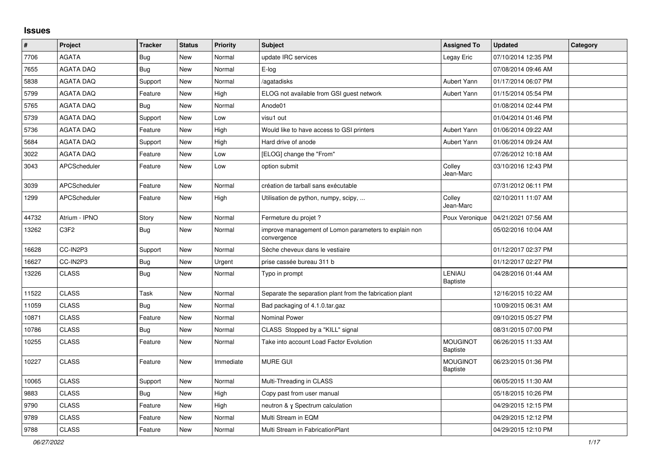## **Issues**

| $\vert$ # | Project             | <b>Tracker</b> | <b>Status</b> | <b>Priority</b> | <b>Subject</b>                                                       | <b>Assigned To</b>                 | <b>Updated</b>      | Category |
|-----------|---------------------|----------------|---------------|-----------------|----------------------------------------------------------------------|------------------------------------|---------------------|----------|
| 7706      | AGATA               | <b>Bug</b>     | New           | Normal          | update IRC services                                                  | Legay Eric                         | 07/10/2014 12:35 PM |          |
| 7655      | <b>AGATA DAQ</b>    | <b>Bug</b>     | New           | Normal          | $E$ -log                                                             |                                    | 07/08/2014 09:46 AM |          |
| 5838      | <b>AGATA DAQ</b>    | Support        | New           | Normal          | /agatadisks                                                          | Aubert Yann                        | 01/17/2014 06:07 PM |          |
| 5799      | <b>AGATA DAQ</b>    | Feature        | New           | High            | ELOG not available from GSI guest network                            | Aubert Yann                        | 01/15/2014 05:54 PM |          |
| 5765      | <b>AGATA DAQ</b>    | Bug            | New           | Normal          | Anode01                                                              |                                    | 01/08/2014 02:44 PM |          |
| 5739      | <b>AGATA DAQ</b>    | Support        | New           | Low             | visu1 out                                                            |                                    | 01/04/2014 01:46 PM |          |
| 5736      | <b>AGATA DAQ</b>    | Feature        | <b>New</b>    | High            | Would like to have access to GSI printers                            | Aubert Yann                        | 01/06/2014 09:22 AM |          |
| 5684      | <b>AGATA DAQ</b>    | Support        | New           | High            | Hard drive of anode                                                  | Aubert Yann                        | 01/06/2014 09:24 AM |          |
| 3022      | <b>AGATA DAQ</b>    | Feature        | New           | Low             | [ELOG] change the "From"                                             |                                    | 07/26/2012 10:18 AM |          |
| 3043      | <b>APCScheduler</b> | Feature        | New           | Low             | option submit                                                        | Colley<br>Jean-Marc                | 03/10/2016 12:43 PM |          |
| 3039      | APCScheduler        | Feature        | New           | Normal          | création de tarball sans exécutable                                  |                                    | 07/31/2012 06:11 PM |          |
| 1299      | APCScheduler        | Feature        | New           | High            | Utilisation de python, numpy, scipy,                                 | Colley<br>Jean-Marc                | 02/10/2011 11:07 AM |          |
| 44732     | Atrium - IPNO       | Story          | New           | Normal          | Fermeture du projet ?                                                | Poux Veronique                     | 04/21/2021 07:56 AM |          |
| 13262     | C3F2                | <b>Bug</b>     | New           | Normal          | improve management of Lomon parameters to explain non<br>convergence |                                    | 05/02/2016 10:04 AM |          |
| 16628     | CC-IN2P3            | Support        | New           | Normal          | Sèche cheveux dans le vestiaire                                      |                                    | 01/12/2017 02:37 PM |          |
| 16627     | CC-IN2P3            | Bug            | New           | Urgent          | prise cassée bureau 311 b                                            |                                    | 01/12/2017 02:27 PM |          |
| 13226     | <b>CLASS</b>        | Bug            | <b>New</b>    | Normal          | Typo in prompt                                                       | LENIAU<br><b>Baptiste</b>          | 04/28/2016 01:44 AM |          |
| 11522     | <b>CLASS</b>        | Task           | New           | Normal          | Separate the separation plant from the fabrication plant             |                                    | 12/16/2015 10:22 AM |          |
| 11059     | <b>CLASS</b>        | <b>Bug</b>     | <b>New</b>    | Normal          | Bad packaging of 4.1.0.tar.gaz                                       |                                    | 10/09/2015 06:31 AM |          |
| 10871     | <b>CLASS</b>        | Feature        | <b>New</b>    | Normal          | <b>Nominal Power</b>                                                 |                                    | 09/10/2015 05:27 PM |          |
| 10786     | <b>CLASS</b>        | Bug            | New           | Normal          | CLASS Stopped by a "KILL" signal                                     |                                    | 08/31/2015 07:00 PM |          |
| 10255     | <b>CLASS</b>        | Feature        | New           | Normal          | Take into account Load Factor Evolution                              | <b>MOUGINOT</b><br><b>Baptiste</b> | 06/26/2015 11:33 AM |          |
| 10227     | <b>CLASS</b>        | Feature        | New           | Immediate       | <b>MURE GUI</b>                                                      | <b>MOUGINOT</b><br><b>Baptiste</b> | 06/23/2015 01:36 PM |          |
| 10065     | <b>CLASS</b>        | Support        | New           | Normal          | Multi-Threading in CLASS                                             |                                    | 06/05/2015 11:30 AM |          |
| 9883      | <b>CLASS</b>        | Bug            | New           | High            | Copy past from user manual                                           |                                    | 05/18/2015 10:26 PM |          |
| 9790      | <b>CLASS</b>        | Feature        | New           | High            | neutron & y Spectrum calculation                                     |                                    | 04/29/2015 12:15 PM |          |
| 9789      | <b>CLASS</b>        | Feature        | New           | Normal          | Multi Stream in EQM                                                  |                                    | 04/29/2015 12:12 PM |          |
| 9788      | <b>CLASS</b>        | Feature        | <b>New</b>    | Normal          | Multi Stream in FabricationPlant                                     |                                    | 04/29/2015 12:10 PM |          |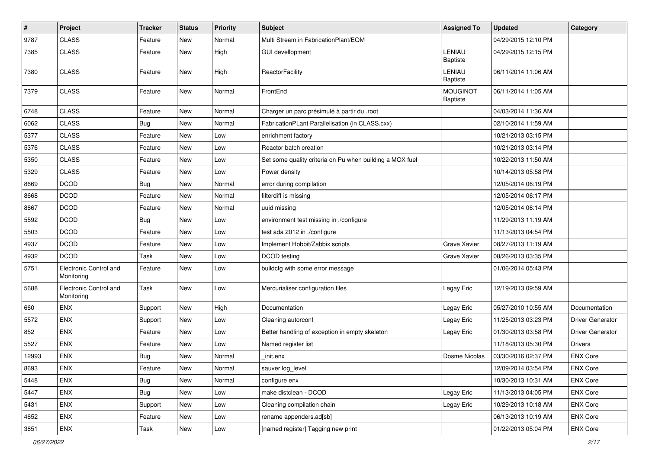| $\sharp$ | Project                              | Tracker    | <b>Status</b> | <b>Priority</b> | <b>Subject</b>                                           | <b>Assigned To</b>          | <b>Updated</b>      | Category         |
|----------|--------------------------------------|------------|---------------|-----------------|----------------------------------------------------------|-----------------------------|---------------------|------------------|
| 9787     | <b>CLASS</b>                         | Feature    | New           | Normal          | Multi Stream in FabricationPlant/EQM                     |                             | 04/29/2015 12:10 PM |                  |
| 7385     | <b>CLASS</b>                         | Feature    | New           | High            | <b>GUI devellopment</b>                                  | LENIAU<br>Baptiste          | 04/29/2015 12:15 PM |                  |
| 7380     | <b>CLASS</b>                         | Feature    | New           | High            | ReactorFacility                                          | LENIAU<br>Baptiste          | 06/11/2014 11:06 AM |                  |
| 7379     | <b>CLASS</b>                         | Feature    | New           | Normal          | FrontEnd                                                 | <b>MOUGINOT</b><br>Baptiste | 06/11/2014 11:05 AM |                  |
| 6748     | <b>CLASS</b>                         | Feature    | New           | Normal          | Charger un parc présimulé à partir du .root              |                             | 04/03/2014 11:36 AM |                  |
| 6062     | <b>CLASS</b>                         | <b>Bug</b> | New           | Normal          | FabricationPLant Parallelisation (in CLASS.cxx)          |                             | 02/10/2014 11:59 AM |                  |
| 5377     | <b>CLASS</b>                         | Feature    | New           | Low             | enrichment factory                                       |                             | 10/21/2013 03:15 PM |                  |
| 5376     | <b>CLASS</b>                         | Feature    | New           | Low             | Reactor batch creation                                   |                             | 10/21/2013 03:14 PM |                  |
| 5350     | <b>CLASS</b>                         | Feature    | New           | Low             | Set some quality criteria on Pu when building a MOX fuel |                             | 10/22/2013 11:50 AM |                  |
| 5329     | <b>CLASS</b>                         | Feature    | New           | Low             | Power density                                            |                             | 10/14/2013 05:58 PM |                  |
| 8669     | <b>DCOD</b>                          | <b>Bug</b> | New           | Normal          | error during compilation                                 |                             | 12/05/2014 06:19 PM |                  |
| 8668     | <b>DCOD</b>                          | Feature    | New           | Normal          | filterdiff is missing                                    |                             | 12/05/2014 06:17 PM |                  |
| 8667     | <b>DCOD</b>                          | Feature    | New           | Normal          | uuid missing                                             |                             | 12/05/2014 06:14 PM |                  |
| 5592     | <b>DCOD</b>                          | <b>Bug</b> | New           | Low             | environment test missing in ./configure                  |                             | 11/29/2013 11:19 AM |                  |
| 5503     | <b>DCOD</b>                          | Feature    | New           | Low             | test ada 2012 in ./configure                             |                             | 11/13/2013 04:54 PM |                  |
| 4937     | <b>DCOD</b>                          | Feature    | New           | Low             | Implement Hobbit/Zabbix scripts                          | Grave Xavier                | 08/27/2013 11:19 AM |                  |
| 4932     | <b>DCOD</b>                          | Task       | New           | Low             | DCOD testing                                             | Grave Xavier                | 08/26/2013 03:35 PM |                  |
| 5751     | Electronic Control and<br>Monitoring | Feature    | New           | Low             | buildcfg with some error message                         |                             | 01/06/2014 05:43 PM |                  |
| 5688     | Electronic Control and<br>Monitoring | Task       | <b>New</b>    | Low             | Mercurialiser configuration files                        | Legay Eric                  | 12/19/2013 09:59 AM |                  |
| 660      | <b>ENX</b>                           | Support    | New           | High            | Documentation                                            | Legay Eric                  | 05/27/2010 10:55 AM | Documentation    |
| 5572     | <b>ENX</b>                           | Support    | New           | Low             | Cleaning autorconf                                       | Legay Eric                  | 11/25/2013 03:23 PM | Driver Generator |
| 852      | <b>ENX</b>                           | Feature    | New           | Low             | Better handling of exception in empty skeleton           | Legay Eric                  | 01/30/2013 03:58 PM | Driver Generator |
| 5527     | ENX                                  | Feature    | New           | Low             | Named register list                                      |                             | 11/18/2013 05:30 PM | <b>Drivers</b>   |
| 12993    | ENX                                  | <b>Bug</b> | New           | Normal          | init.enx                                                 | Dosme Nicolas               | 03/30/2016 02:37 PM | <b>ENX Core</b>  |
| 8693     | ENX                                  | Feature    | New           | Normal          | sauver log_level                                         |                             | 12/09/2014 03:54 PM | ENX Core         |
| 5448     | <b>ENX</b>                           | <b>Bug</b> | New           | Normal          | configure enx                                            |                             | 10/30/2013 10:31 AM | <b>ENX Core</b>  |
| 5447     | <b>ENX</b>                           | Bug        | New           | Low             | make distclean - DCOD                                    | Legay Eric                  | 11/13/2013 04:05 PM | <b>ENX Core</b>  |
| 5431     | <b>ENX</b>                           | Support    | New           | Low             | Cleaning compilation chain                               | Legay Eric                  | 10/29/2013 10:18 AM | <b>ENX Core</b>  |
| 4652     | ENX                                  | Feature    | New           | Low             | rename appenders.ad[sb]                                  |                             | 06/13/2013 10:19 AM | <b>ENX Core</b>  |
| 3851     | ENX                                  | Task       | New           | Low             | [named register] Tagging new print                       |                             | 01/22/2013 05:04 PM | <b>ENX Core</b>  |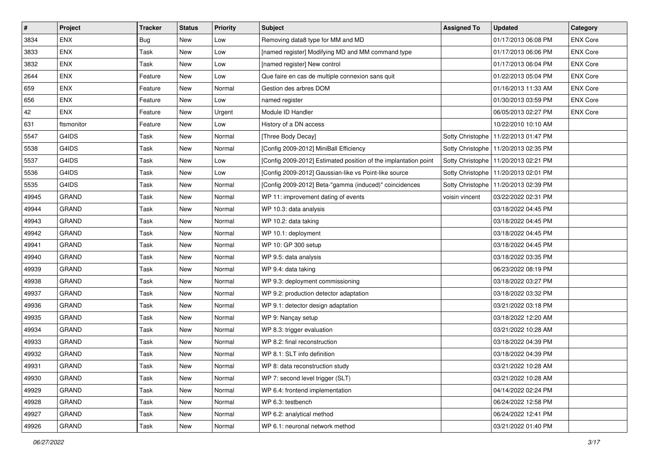| $\sharp$ | Project      | Tracker    | <b>Status</b> | <b>Priority</b> | <b>Subject</b>                                                  | <b>Assigned To</b> | <b>Updated</b>                         | Category        |
|----------|--------------|------------|---------------|-----------------|-----------------------------------------------------------------|--------------------|----------------------------------------|-----------------|
| 3834     | <b>ENX</b>   | <b>Bug</b> | New           | Low             | Removing data8 type for MM and MD                               |                    | 01/17/2013 06:08 PM                    | <b>ENX Core</b> |
| 3833     | <b>ENX</b>   | Task       | <b>New</b>    | Low             | [named register] Modifying MD and MM command type               |                    | 01/17/2013 06:06 PM                    | <b>ENX Core</b> |
| 3832     | <b>ENX</b>   | Task       | New           | Low             | [named register] New control                                    |                    | 01/17/2013 06:04 PM                    | <b>ENX Core</b> |
| 2644     | <b>ENX</b>   | Feature    | New           | Low             | Que faire en cas de multiple connexion sans quit                |                    | 01/22/2013 05:04 PM                    | <b>ENX Core</b> |
| 659      | <b>ENX</b>   | Feature    | New           | Normal          | Gestion des arbres DOM                                          |                    | 01/16/2013 11:33 AM                    | <b>ENX Core</b> |
| 656      | <b>ENX</b>   | Feature    | New           | Low             | named register                                                  |                    | 01/30/2013 03:59 PM                    | <b>ENX Core</b> |
| 42       | <b>ENX</b>   | Feature    | New           | Urgent          | Module ID Handler                                               |                    | 06/05/2013 02:27 PM                    | <b>ENX Core</b> |
| 631      | ftsmonitor   | Feature    | New           | Low             | History of a DN access                                          |                    | 10/22/2010 10:10 AM                    |                 |
| 5547     | G4IDS        | Task       | New           | Normal          | [Three Body Decay]                                              |                    | Sotty Christophe   11/22/2013 01:47 PM |                 |
| 5538     | G4IDS        | Task       | New           | Normal          | [Config 2009-2012] MiniBall Efficiency                          |                    | Sotty Christophe   11/20/2013 02:35 PM |                 |
| 5537     | G4IDS        | Task       | New           | Low             | [Config 2009-2012] Estimated position of the implantation point |                    | Sotty Christophe   11/20/2013 02:21 PM |                 |
| 5536     | G4IDS        | Task       | New           | Low             | [Config 2009-2012] Gaussian-like vs Point-like source           |                    | Sotty Christophe   11/20/2013 02:01 PM |                 |
| 5535     | G4IDS        | Task       | New           | Normal          | [Config 2009-2012] Beta-"gamma (induced)" coincidences          |                    | Sotty Christophe   11/20/2013 02:39 PM |                 |
| 49945    | <b>GRAND</b> | Task       | New           | Normal          | WP 11: improvement dating of events                             | voisin vincent     | 03/22/2022 02:31 PM                    |                 |
| 49944    | <b>GRAND</b> | Task       | New           | Normal          | WP 10.3: data analysis                                          |                    | 03/18/2022 04:45 PM                    |                 |
| 49943    | <b>GRAND</b> | Task       | New           | Normal          | WP 10.2: data taking                                            |                    | 03/18/2022 04:45 PM                    |                 |
| 49942    | <b>GRAND</b> | Task       | New           | Normal          | WP 10.1: deployment                                             |                    | 03/18/2022 04:45 PM                    |                 |
| 49941    | <b>GRAND</b> | Task       | New           | Normal          | WP 10: GP 300 setup                                             |                    | 03/18/2022 04:45 PM                    |                 |
| 49940    | <b>GRAND</b> | Task       | New           | Normal          | WP 9.5: data analysis                                           |                    | 03/18/2022 03:35 PM                    |                 |
| 49939    | <b>GRAND</b> | Task       | New           | Normal          | WP 9.4: data taking                                             |                    | 06/23/2022 08:19 PM                    |                 |
| 49938    | <b>GRAND</b> | Task       | New           | Normal          | WP 9.3: deployment commissioning                                |                    | 03/18/2022 03:27 PM                    |                 |
| 49937    | <b>GRAND</b> | Task       | New           | Normal          | WP 9.2: production detector adaptation                          |                    | 03/18/2022 03:32 PM                    |                 |
| 49936    | <b>GRAND</b> | Task       | New           | Normal          | WP 9.1: detector design adaptation                              |                    | 03/21/2022 03:18 PM                    |                 |
| 49935    | <b>GRAND</b> | Task       | New           | Normal          | WP 9: Nançay setup                                              |                    | 03/18/2022 12:20 AM                    |                 |
| 49934    | <b>GRAND</b> | Task       | New           | Normal          | WP 8.3: trigger evaluation                                      |                    | 03/21/2022 10:28 AM                    |                 |
| 49933    | <b>GRAND</b> | Task       | New           | Normal          | WP 8.2: final reconstruction                                    |                    | 03/18/2022 04:39 PM                    |                 |
| 49932    | <b>GRAND</b> | Task       | New           | Normal          | WP 8.1: SLT info definition                                     |                    | 03/18/2022 04:39 PM                    |                 |
| 49931    | GRAND        | Task       | New           | Normal          | WP 8: data reconstruction study                                 |                    | 03/21/2022 10:28 AM                    |                 |
| 49930    | GRAND        | Task       | New           | Normal          | WP 7: second level trigger (SLT)                                |                    | 03/21/2022 10:28 AM                    |                 |
| 49929    | <b>GRAND</b> | Task       | New           | Normal          | WP 6.4: frontend implementation                                 |                    | 04/14/2022 02:24 PM                    |                 |
| 49928    | <b>GRAND</b> | Task       | New           | Normal          | WP 6.3: testbench                                               |                    | 06/24/2022 12:58 PM                    |                 |
| 49927    | GRAND        | Task       | New           | Normal          | WP 6.2: analytical method                                       |                    | 06/24/2022 12:41 PM                    |                 |
| 49926    | GRAND        | Task       | New           | Normal          | WP 6.1: neuronal network method                                 |                    | 03/21/2022 01:40 PM                    |                 |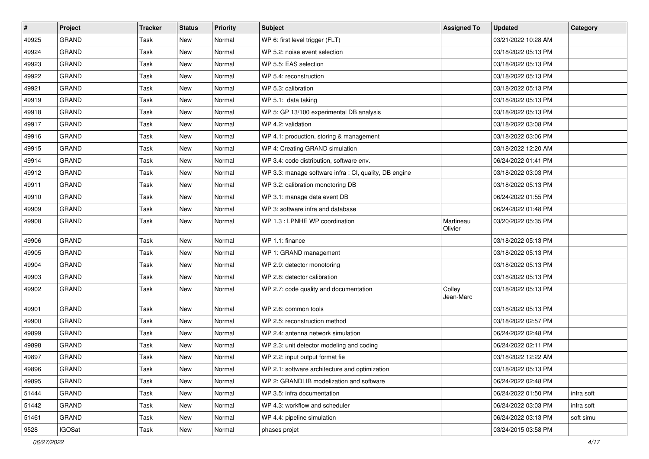| #     | Project       | <b>Tracker</b> | <b>Status</b> | <b>Priority</b> | <b>Subject</b>                                         | <b>Assigned To</b>   | <b>Updated</b>      | Category   |
|-------|---------------|----------------|---------------|-----------------|--------------------------------------------------------|----------------------|---------------------|------------|
| 49925 | <b>GRAND</b>  | Task           | New           | Normal          | WP 6: first level trigger (FLT)                        |                      | 03/21/2022 10:28 AM |            |
| 49924 | GRAND         | Task           | New           | Normal          | WP 5.2: noise event selection                          |                      | 03/18/2022 05:13 PM |            |
| 49923 | <b>GRAND</b>  | Task           | New           | Normal          | WP 5.5: EAS selection                                  |                      | 03/18/2022 05:13 PM |            |
| 49922 | <b>GRAND</b>  | Task           | New           | Normal          | WP 5.4: reconstruction                                 |                      | 03/18/2022 05:13 PM |            |
| 49921 | <b>GRAND</b>  | Task           | New           | Normal          | WP 5.3: calibration                                    |                      | 03/18/2022 05:13 PM |            |
| 49919 | <b>GRAND</b>  | Task           | New           | Normal          | WP 5.1: data taking                                    |                      | 03/18/2022 05:13 PM |            |
| 49918 | <b>GRAND</b>  | Task           | New           | Normal          | WP 5: GP 13/100 experimental DB analysis               |                      | 03/18/2022 05:13 PM |            |
| 49917 | <b>GRAND</b>  | Task           | New           | Normal          | WP 4.2: validation                                     |                      | 03/18/2022 03:08 PM |            |
| 49916 | <b>GRAND</b>  | Task           | New           | Normal          | WP 4.1: production, storing & management               |                      | 03/18/2022 03:06 PM |            |
| 49915 | <b>GRAND</b>  | <b>Task</b>    | New           | Normal          | WP 4: Creating GRAND simulation                        |                      | 03/18/2022 12:20 AM |            |
| 49914 | GRAND         | Task           | New           | Normal          | WP 3.4: code distribution, software env.               |                      | 06/24/2022 01:41 PM |            |
| 49912 | <b>GRAND</b>  | Task           | New           | Normal          | WP 3.3: manage software infra : CI, quality, DB engine |                      | 03/18/2022 03:03 PM |            |
| 49911 | <b>GRAND</b>  | Task           | New           | Normal          | WP 3.2: calibration monotoring DB                      |                      | 03/18/2022 05:13 PM |            |
| 49910 | <b>GRAND</b>  | <b>Task</b>    | New           | Normal          | WP 3.1: manage data event DB                           |                      | 06/24/2022 01:55 PM |            |
| 49909 | <b>GRAND</b>  | Task           | New           | Normal          | WP 3: software infra and database                      |                      | 06/24/2022 01:48 PM |            |
| 49908 | GRAND         | Task           | New           | Normal          | WP 1.3 : LPNHE WP coordination                         | Martineau<br>Olivier | 03/20/2022 05:35 PM |            |
| 49906 | <b>GRAND</b>  | Task           | New           | Normal          | WP 1.1: finance                                        |                      | 03/18/2022 05:13 PM |            |
| 49905 | <b>GRAND</b>  | Task           | New           | Normal          | WP 1: GRAND management                                 |                      | 03/18/2022 05:13 PM |            |
| 49904 | <b>GRAND</b>  | Task           | <b>New</b>    | Normal          | WP 2.9: detector monotoring                            |                      | 03/18/2022 05:13 PM |            |
| 49903 | <b>GRAND</b>  | Task           | New           | Normal          | WP 2.8: detector calibration                           |                      | 03/18/2022 05:13 PM |            |
| 49902 | <b>GRAND</b>  | Task           | New           | Normal          | WP 2.7: code quality and documentation                 | Colley<br>Jean-Marc  | 03/18/2022 05:13 PM |            |
| 49901 | <b>GRAND</b>  | Task           | <b>New</b>    | Normal          | WP 2.6: common tools                                   |                      | 03/18/2022 05:13 PM |            |
| 49900 | <b>GRAND</b>  | Task           | New           | Normal          | WP 2.5: reconstruction method                          |                      | 03/18/2022 02:57 PM |            |
| 49899 | <b>GRAND</b>  | Task           | New           | Normal          | WP 2.4: antenna network simulation                     |                      | 06/24/2022 02:48 PM |            |
| 49898 | <b>GRAND</b>  | Task           | New           | Normal          | WP 2.3: unit detector modeling and coding              |                      | 06/24/2022 02:11 PM |            |
| 49897 | <b>GRAND</b>  | Task           | New           | Normal          | WP 2.2: input output format fie                        |                      | 03/18/2022 12:22 AM |            |
| 49896 | GRAND         | Task           | New           | Normal          | WP 2.1: software architecture and optimization         |                      | 03/18/2022 05:13 PM |            |
| 49895 | <b>GRAND</b>  | Task           | New           | Normal          | WP 2: GRANDLIB modelization and software               |                      | 06/24/2022 02:48 PM |            |
| 51444 | GRAND         | Task           | New           | Normal          | WP 3.5: infra documentation                            |                      | 06/24/2022 01:50 PM | infra soft |
| 51442 | GRAND         | Task           | New           | Normal          | WP 4.3: workflow and scheduler                         |                      | 06/24/2022 03:03 PM | infra soft |
| 51461 | <b>GRAND</b>  | Task           | New           | Normal          | WP 4.4: pipeline simulation                            |                      | 06/24/2022 03:13 PM | soft simu  |
| 9528  | <b>IGOSat</b> | Task           | New           | Normal          | phases projet                                          |                      | 03/24/2015 03:58 PM |            |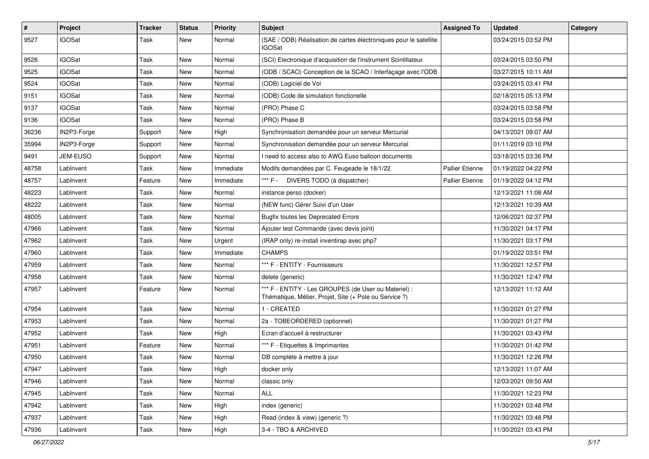| $\sharp$ | Project         | <b>Tracker</b> | <b>Status</b> | <b>Priority</b> | <b>Subject</b>                                                                                                 | <b>Assigned To</b>     | <b>Updated</b>      | Category |
|----------|-----------------|----------------|---------------|-----------------|----------------------------------------------------------------------------------------------------------------|------------------------|---------------------|----------|
| 9527     | <b>IGOSat</b>   | Task           | New           | Normal          | (SAE / ODB) Réalisation de cartes électroniques pour le satellite<br><b>IGOSat</b>                             |                        | 03/24/2015 03:52 PM |          |
| 9526     | <b>IGOSat</b>   | Task           | New           | Normal          | (SCI) Electronique d'acquisition de l'instrument Scintillateur                                                 |                        | 03/24/2015 03:50 PM |          |
| 9525     | <b>IGOSat</b>   | Task           | New           | Normal          | (ODB / SCAO) Conception de la SCAO / Interfaçage avec l'ODB                                                    |                        | 03/27/2015 10:11 AM |          |
| 9524     | <b>IGOSat</b>   | Task           | New           | Normal          | (ODB) Logiciel de Vol                                                                                          |                        | 03/24/2015 03:41 PM |          |
| 9151     | <b>IGOSat</b>   | Task           | New           | Normal          | (ODB) Code de simulation fonctionelle                                                                          |                        | 02/18/2015 05:13 PM |          |
| 9137     | <b>IGOSat</b>   | Task           | New           | Normal          | (PRO) Phase C                                                                                                  |                        | 03/24/2015 03:58 PM |          |
| 9136     | <b>IGOSat</b>   | Task           | New           | Normal          | (PRO) Phase B                                                                                                  |                        | 03/24/2015 03:58 PM |          |
| 36236    | IN2P3-Forge     | Support        | New           | High            | Synchronisation demandée pour un serveur Mercurial                                                             |                        | 04/13/2021 09:07 AM |          |
| 35994    | IN2P3-Forge     | Support        | New           | Normal          | Synchronisation demandée pour un serveur Mercurial                                                             |                        | 01/11/2019 03:10 PM |          |
| 9491     | <b>JEM-EUSO</b> | Support        | New           | Normal          | I need to access also to AWG Euso balloon documents                                                            |                        | 03/18/2015 03:36 PM |          |
| 48758    | LabInvent       | Task           | New           | Immediate       | Modifs demandées par C. Feugeade le 18/1/22                                                                    | <b>Pallier Etienne</b> | 01/19/2022 04:22 PM |          |
| 48757    | LabInvent       | Feature        | New           | Immediate       | *** F - DIVERS TODO (à dispatcher)                                                                             | <b>Pallier Etienne</b> | 01/19/2022 04:12 PM |          |
| 48223    | LabInvent       | Task           | New           | Normal          | instance perso (docker)                                                                                        |                        | 12/13/2021 11:08 AM |          |
| 48222    | LabInvent       | Task           | New           | Normal          | (NEW func) Gérer Suivi d'un User                                                                               |                        | 12/13/2021 10:39 AM |          |
| 48005    | LabInvent       | Task           | New           | Normal          | <b>Bugfix toutes les Deprecated Errors</b>                                                                     |                        | 12/06/2021 02:37 PM |          |
| 47966    | LabInvent       | Task           | New           | Normal          | Ajouter test Commande (avec devis joint)                                                                       |                        | 11/30/2021 04:17 PM |          |
| 47962    | LabInvent       | Task           | New           | Urgent          | (IRAP only) re-install inventirap avec php7                                                                    |                        | 11/30/2021 03:17 PM |          |
| 47960    | LabInvent       | Task           | New           | Immediate       | <b>CHAMPS</b>                                                                                                  |                        | 01/19/2022 03:51 PM |          |
| 47959    | LabInvent       | Task           | New           | Normal          | *** F - ENTITY - Fournisseurs                                                                                  |                        | 11/30/2021 12:57 PM |          |
| 47958    | LabInvent       | Task           | New           | Normal          | delete (generic)                                                                                               |                        | 11/30/2021 12:47 PM |          |
| 47957    | LabInvent       | Feature        | New           | Normal          | *** F - ENTITY - Les GROUPES (de User ou Materiel) :<br>Thématique, Métier, Projet, Site (+ Pole ou Service ?) |                        | 12/13/2021 11:12 AM |          |
| 47954    | LabInvent       | Task           | New           | Normal          | 1 - CREATED                                                                                                    |                        | 11/30/2021 01:27 PM |          |
| 47953    | LabInvent       | Task           | New           | Normal          | 2a - TOBEORDERED (optionnel)                                                                                   |                        | 11/30/2021 01:27 PM |          |
| 47952    | LabInvent       | Task           | New           | High            | Ecran d'accueil à restructurer                                                                                 |                        | 11/30/2021 03:43 PM |          |
| 47951    | LabInvent       | Feature        | New           | Normal          | *** F - Etiquettes & Imprimantes                                                                               |                        | 11/30/2021 01:42 PM |          |
| 47950    | LabInvent       | Task           | New           | Normal          | DB complète à mettre à jour                                                                                    |                        | 11/30/2021 12:26 PM |          |
| 47947    | LabInvent       | Task           | New           | High            | docker only                                                                                                    |                        | 12/13/2021 11:07 AM |          |
| 47946    | LabInvent       | Task           | New           | Normal          | classic only                                                                                                   |                        | 12/03/2021 09:50 AM |          |
| 47945    | LabInvent       | Task           | New           | Normal          | ALL                                                                                                            |                        | 11/30/2021 12:23 PM |          |
| 47942    | LabInvent       | Task           | New           | High            | index (generic)                                                                                                |                        | 11/30/2021 03:48 PM |          |
| 47937    | LabInvent       | Task           | New           | High            | Read (index & view) (generic ?)                                                                                |                        | 11/30/2021 03:48 PM |          |
| 47936    | LabInvent       | Task           | New           | High            | 3-4 - TBO & ARCHIVED                                                                                           |                        | 11/30/2021 03:43 PM |          |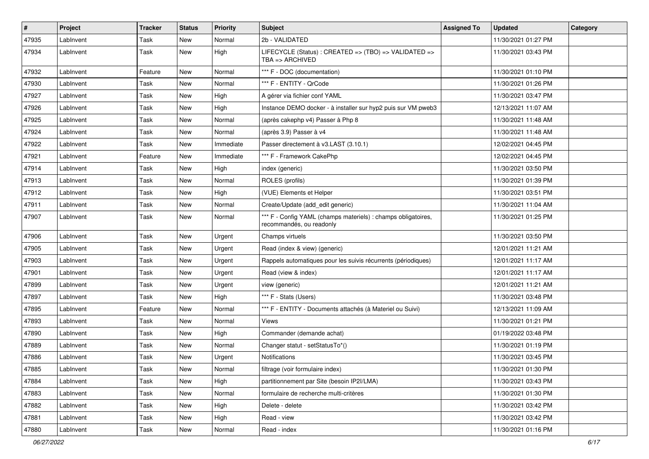| $\vert$ # | Project   | Tracker | <b>Status</b> | <b>Priority</b> | <b>Subject</b>                                                                            | <b>Assigned To</b> | <b>Updated</b>      | Category |
|-----------|-----------|---------|---------------|-----------------|-------------------------------------------------------------------------------------------|--------------------|---------------------|----------|
| 47935     | LabInvent | Task    | New           | Normal          | 2b - VALIDATED                                                                            |                    | 11/30/2021 01:27 PM |          |
| 47934     | LabInvent | Task    | New           | High            | LIFECYCLE (Status) : CREATED => (TBO) => VALIDATED =><br>$TBA \equiv > ARCHIVED$          |                    | 11/30/2021 03:43 PM |          |
| 47932     | LabInvent | Feature | New           | Normal          | *** F - DOC (documentation)                                                               |                    | 11/30/2021 01:10 PM |          |
| 47930     | LabInvent | Task    | New           | Normal          | *** F - ENTITY - QrCode                                                                   |                    | 11/30/2021 01:26 PM |          |
| 47927     | LabInvent | Task    | New           | High            | A gérer via fichier conf YAML                                                             |                    | 11/30/2021 03:47 PM |          |
| 47926     | LabInvent | Task    | New           | High            | Instance DEMO docker - à installer sur hyp2 puis sur VM pweb3                             |                    | 12/13/2021 11:07 AM |          |
| 47925     | LabInvent | Task    | New           | Normal          | (après cakephp v4) Passer à Php 8                                                         |                    | 11/30/2021 11:48 AM |          |
| 47924     | LabInvent | Task    | New           | Normal          | (après 3.9) Passer à v4                                                                   |                    | 11/30/2021 11:48 AM |          |
| 47922     | LabInvent | Task    | New           | Immediate       | Passer directement à v3.LAST (3.10.1)                                                     |                    | 12/02/2021 04:45 PM |          |
| 47921     | LabInvent | Feature | New           | Immediate       | *** F - Framework CakePhp                                                                 |                    | 12/02/2021 04:45 PM |          |
| 47914     | LabInvent | Task    | New           | High            | index (generic)                                                                           |                    | 11/30/2021 03:50 PM |          |
| 47913     | LabInvent | Task    | New           | Normal          | ROLES (profils)                                                                           |                    | 11/30/2021 01:39 PM |          |
| 47912     | LabInvent | Task    | New           | High            | (VUE) Elements et Helper                                                                  |                    | 11/30/2021 03:51 PM |          |
| 47911     | LabInvent | Task    | New           | Normal          | Create/Update (add_edit generic)                                                          |                    | 11/30/2021 11:04 AM |          |
| 47907     | LabInvent | Task    | New           | Normal          | *** F - Config YAML (champs materiels) : champs obligatoires,<br>recommandés, ou readonly |                    | 11/30/2021 01:25 PM |          |
| 47906     | LabInvent | Task    | New           | Urgent          | Champs virtuels                                                                           |                    | 11/30/2021 03:50 PM |          |
| 47905     | LabInvent | Task    | New           | Urgent          | Read (index & view) (generic)                                                             |                    | 12/01/2021 11:21 AM |          |
| 47903     | LabInvent | Task    | New           | Urgent          | Rappels automatiques pour les suivis récurrents (périodiques)                             |                    | 12/01/2021 11:17 AM |          |
| 47901     | LabInvent | Task    | New           | Urgent          | Read (view & index)                                                                       |                    | 12/01/2021 11:17 AM |          |
| 47899     | LabInvent | Task    | New           | Urgent          | view (generic)                                                                            |                    | 12/01/2021 11:21 AM |          |
| 47897     | LabInvent | Task    | New           | High            | *** F - Stats (Users)                                                                     |                    | 11/30/2021 03:48 PM |          |
| 47895     | LabInvent | Feature | New           | Normal          | *** F - ENTITY - Documents attachés (à Materiel ou Suivi)                                 |                    | 12/13/2021 11:09 AM |          |
| 47893     | LabInvent | Task    | New           | Normal          | Views                                                                                     |                    | 11/30/2021 01:21 PM |          |
| 47890     | LabInvent | Task    | New           | High            | Commander (demande achat)                                                                 |                    | 01/19/2022 03:48 PM |          |
| 47889     | LabInvent | Task    | New           | Normal          | Changer statut - setStatusTo*()                                                           |                    | 11/30/2021 01:19 PM |          |
| 47886     | LabInvent | Task    | New           | Urgent          | Notifications                                                                             |                    | 11/30/2021 03:45 PM |          |
| 47885     | LabInvent | Task    | New           | Normal          | filtrage (voir formulaire index)                                                          |                    | 11/30/2021 01:30 PM |          |
| 47884     | LabInvent | Task    | New           | High            | partitionnement par Site (besoin IP2I/LMA)                                                |                    | 11/30/2021 03:43 PM |          |
| 47883     | LabInvent | Task    | New           | Normal          | formulaire de recherche multi-critères                                                    |                    | 11/30/2021 01:30 PM |          |
| 47882     | LabInvent | Task    | New           | High            | Delete - delete                                                                           |                    | 11/30/2021 03:42 PM |          |
| 47881     | LabInvent | Task    | New           | High            | Read - view                                                                               |                    | 11/30/2021 03:42 PM |          |
| 47880     | LabInvent | Task    | New           | Normal          | Read - index                                                                              |                    | 11/30/2021 01:16 PM |          |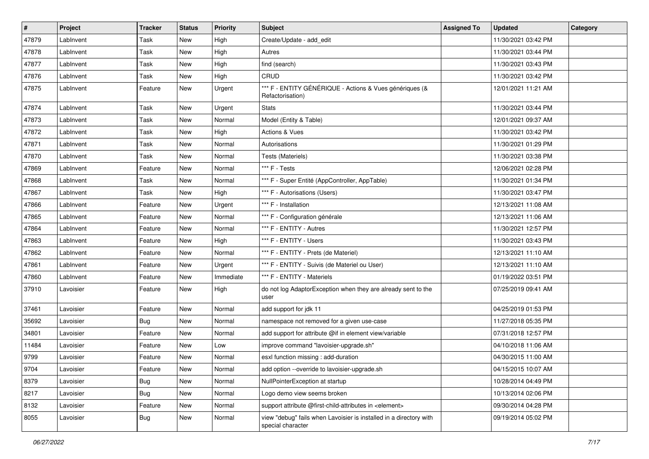| #     | Project   | <b>Tracker</b> | <b>Status</b> | <b>Priority</b> | <b>Subject</b>                                                                          | <b>Assigned To</b> | <b>Updated</b>      | Category |
|-------|-----------|----------------|---------------|-----------------|-----------------------------------------------------------------------------------------|--------------------|---------------------|----------|
| 47879 | LabInvent | Task           | New           | High            | Create/Update - add_edit                                                                |                    | 11/30/2021 03:42 PM |          |
| 47878 | LabInvent | Task           | <b>New</b>    | High            | Autres                                                                                  |                    | 11/30/2021 03:44 PM |          |
| 47877 | LabInvent | Task           | New           | High            | find (search)                                                                           |                    | 11/30/2021 03:43 PM |          |
| 47876 | LabInvent | Task           | New           | High            | CRUD                                                                                    |                    | 11/30/2021 03:42 PM |          |
| 47875 | LabInvent | Feature        | New           | Urgent          | *** F - ENTITY GÉNÉRIQUE - Actions & Vues génériques (&<br>Refactorisation)             |                    | 12/01/2021 11:21 AM |          |
| 47874 | LabInvent | Task           | <b>New</b>    | Urgent          | <b>Stats</b>                                                                            |                    | 11/30/2021 03:44 PM |          |
| 47873 | LabInvent | Task           | New           | Normal          | Model (Entity & Table)                                                                  |                    | 12/01/2021 09:37 AM |          |
| 47872 | LabInvent | Task           | New           | High            | Actions & Vues                                                                          |                    | 11/30/2021 03:42 PM |          |
| 47871 | LabInvent | Task           | New           | Normal          | Autorisations                                                                           |                    | 11/30/2021 01:29 PM |          |
| 47870 | LabInvent | Task           | New           | Normal          | Tests (Materiels)                                                                       |                    | 11/30/2021 03:38 PM |          |
| 47869 | LabInvent | Feature        | <b>New</b>    | Normal          | *** F - Tests                                                                           |                    | 12/06/2021 02:28 PM |          |
| 47868 | LabInvent | Task           | New           | Normal          | *** F - Super Entité (AppController, AppTable)                                          |                    | 11/30/2021 01:34 PM |          |
| 47867 | LabInvent | Task           | New           | High            | *** F - Autorisations (Users)                                                           |                    | 11/30/2021 03:47 PM |          |
| 47866 | LabInvent | Feature        | <b>New</b>    | Urgent          | *** F - Installation                                                                    |                    | 12/13/2021 11:08 AM |          |
| 47865 | LabInvent | Feature        | New           | Normal          | *** F - Configuration générale                                                          |                    | 12/13/2021 11:06 AM |          |
| 47864 | LabInvent | Feature        | New           | Normal          | *** F - ENTITY - Autres                                                                 |                    | 11/30/2021 12:57 PM |          |
| 47863 | LabInvent | Feature        | New           | High            | *** F - ENTITY - Users                                                                  |                    | 11/30/2021 03:43 PM |          |
| 47862 | LabInvent | Feature        | New           | Normal          | *** F - ENTITY - Prets (de Materiel)                                                    |                    | 12/13/2021 11:10 AM |          |
| 47861 | LabInvent | Feature        | <b>New</b>    | Urgent          | *** F - ENTITY - Suivis (de Materiel ou User)                                           |                    | 12/13/2021 11:10 AM |          |
| 47860 | LabInvent | Feature        | <b>New</b>    | Immediate       | *** F - ENTITY - Materiels                                                              |                    | 01/19/2022 03:51 PM |          |
| 37910 | Lavoisier | Feature        | New           | High            | do not log AdaptorException when they are already sent to the<br>user                   |                    | 07/25/2019 09:41 AM |          |
| 37461 | Lavoisier | Feature        | <b>New</b>    | Normal          | add support for jdk 11                                                                  |                    | 04/25/2019 01:53 PM |          |
| 35692 | Lavoisier | <b>Bug</b>     | New           | Normal          | namespace not removed for a given use-case                                              |                    | 11/27/2018 05:35 PM |          |
| 34801 | Lavoisier | Feature        | New           | Normal          | add support for attribute @if in element view/variable                                  |                    | 07/31/2018 12:57 PM |          |
| 11484 | Lavoisier | Feature        | New           | Low             | improve command "lavoisier-upgrade.sh"                                                  |                    | 04/10/2018 11:06 AM |          |
| 9799  | Lavoisier | Feature        | <b>New</b>    | Normal          | esxl function missing : add-duration                                                    |                    | 04/30/2015 11:00 AM |          |
| 9704  | Lavoisier | Feature        | New           | Normal          | add option --override to lavoisier-upgrade.sh                                           |                    | 04/15/2015 10:07 AM |          |
| 8379  | Lavoisier | Bug            | New           | Normal          | NullPointerException at startup                                                         |                    | 10/28/2014 04:49 PM |          |
| 8217  | Lavoisier | Bug            | New           | Normal          | Logo demo view seems broken                                                             |                    | 10/13/2014 02:06 PM |          |
| 8132  | Lavoisier | Feature        | New           | Normal          | support attribute @first-child-attributes in <element></element>                        |                    | 09/30/2014 04:28 PM |          |
| 8055  | Lavoisier | <b>Bug</b>     | New           | Normal          | view "debug" fails when Lavoisier is installed in a directory with<br>special character |                    | 09/19/2014 05:02 PM |          |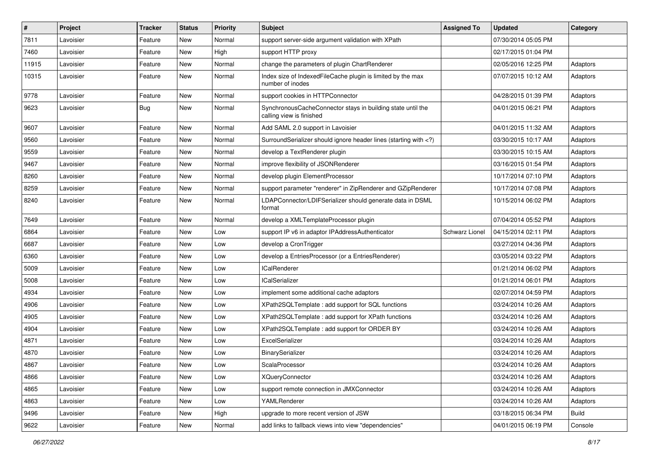| $\sharp$ | Project   | Tracker | <b>Status</b> | <b>Priority</b> | Subject                                                                                                                     | <b>Assigned To</b> | <b>Updated</b>      | Category     |
|----------|-----------|---------|---------------|-----------------|-----------------------------------------------------------------------------------------------------------------------------|--------------------|---------------------|--------------|
| 7811     | Lavoisier | Feature | New           | Normal          | support server-side argument validation with XPath                                                                          |                    | 07/30/2014 05:05 PM |              |
| 7460     | Lavoisier | Feature | New           | High            | support HTTP proxy                                                                                                          |                    | 02/17/2015 01:04 PM |              |
| 11915    | Lavoisier | Feature | New           | Normal          | change the parameters of plugin ChartRenderer                                                                               |                    | 02/05/2016 12:25 PM | Adaptors     |
| 10315    | Lavoisier | Feature | New           | Normal          | Index size of IndexedFileCache plugin is limited by the max<br>number of inodes                                             |                    | 07/07/2015 10:12 AM | Adaptors     |
| 9778     | Lavoisier | Feature | New           | Normal          | support cookies in HTTPConnector                                                                                            |                    | 04/28/2015 01:39 PM | Adaptors     |
| 9623     | Lavoisier | Bug     | New           | Normal          | SynchronousCacheConnector stays in building state until the<br>calling view is finished                                     |                    | 04/01/2015 06:21 PM | Adaptors     |
| 9607     | Lavoisier | Feature | New           | Normal          | Add SAML 2.0 support in Lavoisier                                                                                           |                    | 04/01/2015 11:32 AM | Adaptors     |
| 9560     | Lavoisier | Feature | New           | Normal          | SurroundSerializer should ignore header lines (starting with )</td <td></td> <td>03/30/2015 10:17 AM</td> <td>Adaptors</td> |                    | 03/30/2015 10:17 AM | Adaptors     |
| 9559     | Lavoisier | Feature | New           | Normal          | develop a TextRenderer plugin                                                                                               |                    | 03/30/2015 10:15 AM | Adaptors     |
| 9467     | Lavoisier | Feature | New           | Normal          | improve flexibility of JSONRenderer                                                                                         |                    | 03/16/2015 01:54 PM | Adaptors     |
| 8260     | Lavoisier | Feature | New           | Normal          | develop plugin ElementProcessor                                                                                             |                    | 10/17/2014 07:10 PM | Adaptors     |
| 8259     | Lavoisier | Feature | New           | Normal          | support parameter "renderer" in ZipRenderer and GZipRenderer                                                                |                    | 10/17/2014 07:08 PM | Adaptors     |
| 8240     | Lavoisier | Feature | New           | Normal          | LDAPConnector/LDIFSerializer should generate data in DSML<br>format                                                         |                    | 10/15/2014 06:02 PM | Adaptors     |
| 7649     | Lavoisier | Feature | New           | Normal          | develop a XMLTemplateProcessor plugin                                                                                       |                    | 07/04/2014 05:52 PM | Adaptors     |
| 6864     | Lavoisier | Feature | New           | Low             | support IP v6 in adaptor IPAddressAuthenticator                                                                             | Schwarz Lionel     | 04/15/2014 02:11 PM | Adaptors     |
| 6687     | Lavoisier | Feature | New           | Low             | develop a CronTrigger                                                                                                       |                    | 03/27/2014 04:36 PM | Adaptors     |
| 6360     | Lavoisier | Feature | New           | Low             | develop a EntriesProcessor (or a EntriesRenderer)                                                                           |                    | 03/05/2014 03:22 PM | Adaptors     |
| 5009     | Lavoisier | Feature | New           | Low             | <b>ICalRenderer</b>                                                                                                         |                    | 01/21/2014 06:02 PM | Adaptors     |
| 5008     | Lavoisier | Feature | New           | Low             | <b>ICalSerializer</b>                                                                                                       |                    | 01/21/2014 06:01 PM | Adaptors     |
| 4934     | Lavoisier | Feature | New           | Low             | implement some additional cache adaptors                                                                                    |                    | 02/07/2014 04:59 PM | Adaptors     |
| 4906     | Lavoisier | Feature | New           | Low             | XPath2SQLTemplate: add support for SQL functions                                                                            |                    | 03/24/2014 10:26 AM | Adaptors     |
| 4905     | Lavoisier | Feature | New           | Low             | XPath2SQLTemplate : add support for XPath functions                                                                         |                    | 03/24/2014 10:26 AM | Adaptors     |
| 4904     | Lavoisier | Feature | New           | Low             | XPath2SQLTemplate : add support for ORDER BY                                                                                |                    | 03/24/2014 10:26 AM | Adaptors     |
| 4871     | Lavoisier | Feature | New           | Low             | ExcelSerializer                                                                                                             |                    | 03/24/2014 10:26 AM | Adaptors     |
| 4870     | Lavoisier | Feature | New           | Low             | BinarySerializer                                                                                                            |                    | 03/24/2014 10:26 AM | Adaptors     |
| 4867     | Lavoisier | Feature | New           | Low             | ScalaProcessor                                                                                                              |                    | 03/24/2014 10:26 AM | Adaptors     |
| 4866     | Lavoisier | Feature | New           | Low             | <b>XQueryConnector</b>                                                                                                      |                    | 03/24/2014 10:26 AM | Adaptors     |
| 4865     | Lavoisier | Feature | New           | Low             | support remote connection in JMXConnector                                                                                   |                    | 03/24/2014 10:26 AM | Adaptors     |
| 4863     | Lavoisier | Feature | New           | Low             | YAMLRenderer                                                                                                                |                    | 03/24/2014 10:26 AM | Adaptors     |
| 9496     | Lavoisier | Feature | New           | High            | upgrade to more recent version of JSW                                                                                       |                    | 03/18/2015 06:34 PM | <b>Build</b> |
| 9622     | Lavoisier | Feature | New           | Normal          | add links to fallback views into view "dependencies"                                                                        |                    | 04/01/2015 06:19 PM | Console      |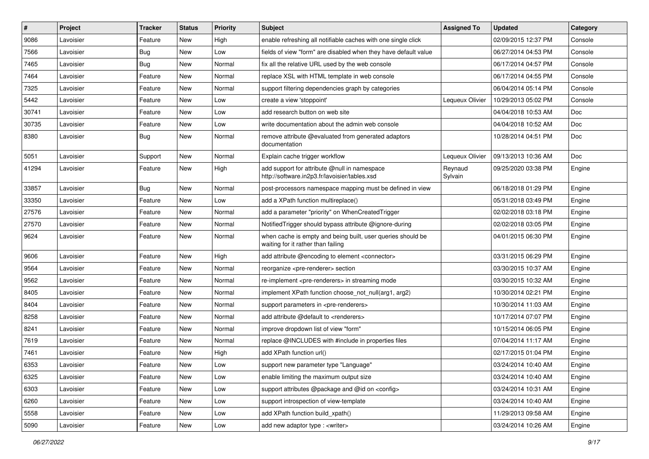| $\pmb{\#}$ | Project   | <b>Tracker</b> | <b>Status</b> | <b>Priority</b> | <b>Subject</b>                                                                                    | <b>Assigned To</b> | <b>Updated</b>      | Category   |
|------------|-----------|----------------|---------------|-----------------|---------------------------------------------------------------------------------------------------|--------------------|---------------------|------------|
| 9086       | Lavoisier | Feature        | <b>New</b>    | High            | enable refreshing all notifiable caches with one single click                                     |                    | 02/09/2015 12:37 PM | Console    |
| 7566       | Lavoisier | Bug            | <b>New</b>    | Low             | fields of view "form" are disabled when they have default value                                   |                    | 06/27/2014 04:53 PM | Console    |
| 7465       | Lavoisier | <b>Bug</b>     | <b>New</b>    | Normal          | fix all the relative URL used by the web console                                                  |                    | 06/17/2014 04:57 PM | Console    |
| 7464       | Lavoisier | Feature        | New           | Normal          | replace XSL with HTML template in web console                                                     |                    | 06/17/2014 04:55 PM | Console    |
| 7325       | Lavoisier | Feature        | <b>New</b>    | Normal          | support filtering dependencies graph by categories                                                |                    | 06/04/2014 05:14 PM | Console    |
| 5442       | Lavoisier | Feature        | <b>New</b>    | Low             | create a view 'stoppoint'                                                                         | Lequeux Olivier    | 10/29/2013 05:02 PM | Console    |
| 30741      | Lavoisier | Feature        | <b>New</b>    | Low             | add research button on web site                                                                   |                    | 04/04/2018 10:53 AM | Doc        |
| 30735      | Lavoisier | Feature        | New           | Low             | write documentation about the admin web console                                                   |                    | 04/04/2018 10:52 AM | Doc        |
| 8380       | Lavoisier | Bug            | New           | Normal          | remove attribute @evaluated from generated adaptors<br>documentation                              |                    | 10/28/2014 04:51 PM | Doc        |
| 5051       | Lavoisier | Support        | New           | Normal          | Explain cache trigger workflow                                                                    | Lequeux Olivier    | 09/13/2013 10:36 AM | <b>Doc</b> |
| 41294      | Lavoisier | Feature        | New           | High            | add support for attribute @null in namespace<br>http://software.in2p3.fr/lavoisier/tables.xsd     | Reynaud<br>Sylvain | 09/25/2020 03:38 PM | Engine     |
| 33857      | Lavoisier | <b>Bug</b>     | <b>New</b>    | Normal          | post-processors namespace mapping must be defined in view                                         |                    | 06/18/2018 01:29 PM | Engine     |
| 33350      | Lavoisier | Feature        | New           | Low             | add a XPath function multireplace()                                                               |                    | 05/31/2018 03:49 PM | Engine     |
| 27576      | Lavoisier | Feature        | New           | Normal          | add a parameter "priority" on WhenCreatedTrigger                                                  |                    | 02/02/2018 03:18 PM | Engine     |
| 27570      | Lavoisier | Feature        | New           | Normal          | NotifiedTrigger should bypass attribute @ignore-during                                            |                    | 02/02/2018 03:05 PM | Engine     |
| 9624       | Lavoisier | Feature        | <b>New</b>    | Normal          | when cache is empty and being built, user queries should be<br>waiting for it rather than failing |                    | 04/01/2015 06:30 PM | Engine     |
| 9606       | Lavoisier | Feature        | <b>New</b>    | High            | add attribute @encoding to element <connector></connector>                                        |                    | 03/31/2015 06:29 PM | Engine     |
| 9564       | Lavoisier | Feature        | <b>New</b>    | Normal          | reorganize <pre-renderer> section</pre-renderer>                                                  |                    | 03/30/2015 10:37 AM | Engine     |
| 9562       | Lavoisier | Feature        | New           | Normal          | re-implement <pre-renderers> in streaming mode</pre-renderers>                                    |                    | 03/30/2015 10:32 AM | Engine     |
| 8405       | Lavoisier | Feature        | New           | Normal          | implement XPath function choose not null(arg1, arg2)                                              |                    | 10/30/2014 02:21 PM | Engine     |
| 8404       | Lavoisier | Feature        | New           | Normal          | support parameters in <pre-renderers></pre-renderers>                                             |                    | 10/30/2014 11:03 AM | Engine     |
| 8258       | Lavoisier | Feature        | New           | Normal          | add attribute @default to <renderers></renderers>                                                 |                    | 10/17/2014 07:07 PM | Engine     |
| 8241       | Lavoisier | Feature        | <b>New</b>    | Normal          | improve dropdown list of view "form"                                                              |                    | 10/15/2014 06:05 PM | Engine     |
| 7619       | Lavoisier | Feature        | New           | Normal          | replace @INCLUDES with #include in properties files                                               |                    | 07/04/2014 11:17 AM | Engine     |
| 7461       | Lavoisier | Feature        | <b>New</b>    | High            | add XPath function url()                                                                          |                    | 02/17/2015 01:04 PM | Engine     |
| 6353       | Lavoisier | Feature        | New           | Low             | support new parameter type "Language"                                                             |                    | 03/24/2014 10:40 AM | Engine     |
| 6325       | Lavoisier | Feature        | New           | Low             | enable limiting the maximum output size                                                           |                    | 03/24/2014 10:40 AM | Engine     |
| 6303       | Lavoisier | Feature        | New           | Low             | support attributes @package and @id on <config></config>                                          |                    | 03/24/2014 10:31 AM | Engine     |
| 6260       | Lavoisier | Feature        | New           | Low             | support introspection of view-template                                                            |                    | 03/24/2014 10:40 AM | Engine     |
| 5558       | Lavoisier | Feature        | New           | Low             | add XPath function build_xpath()                                                                  |                    | 11/29/2013 09:58 AM | Engine     |
| 5090       | Lavoisier | Feature        | New           | Low             | add new adaptor type : <writer></writer>                                                          |                    | 03/24/2014 10:26 AM | Engine     |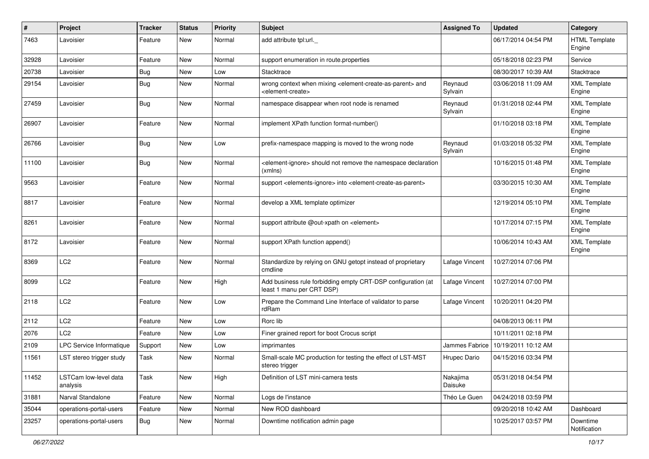| $\pmb{\#}$ | Project                           | <b>Tracker</b> | <b>Status</b> | <b>Priority</b> | <b>Subject</b>                                                                                                            | <b>Assigned To</b>  | <b>Updated</b>      | Category                       |
|------------|-----------------------------------|----------------|---------------|-----------------|---------------------------------------------------------------------------------------------------------------------------|---------------------|---------------------|--------------------------------|
| 7463       | Lavoisier                         | Feature        | New           | Normal          | add attribute tpl:url.                                                                                                    |                     | 06/17/2014 04:54 PM | <b>HTML Template</b><br>Engine |
| 32928      | Lavoisier                         | Feature        | New           | Normal          | support enumeration in route properties                                                                                   |                     | 05/18/2018 02:23 PM | Service                        |
| 20738      | Lavoisier                         | Bug            | New           | Low             | Stacktrace                                                                                                                |                     | 08/30/2017 10:39 AM | Stacktrace                     |
| 29154      | Lavoisier                         | Bug            | New           | Normal          | wrong context when mixing <element-create-as-parent> and<br/><element-create></element-create></element-create-as-parent> | Reynaud<br>Sylvain  | 03/06/2018 11:09 AM | <b>XML Template</b><br>Engine  |
| 27459      | Lavoisier                         | Bug            | New           | Normal          | namespace disappear when root node is renamed                                                                             | Reynaud<br>Sylvain  | 01/31/2018 02:44 PM | <b>XML Template</b><br>Engine  |
| 26907      | Lavoisier                         | Feature        | New           | Normal          | implement XPath function format-number()                                                                                  |                     | 01/10/2018 03:18 PM | <b>XML</b> Template<br>Engine  |
| 26766      | Lavoisier                         | <b>Bug</b>     | New           | Low             | prefix-namespace mapping is moved to the wrong node                                                                       | Reynaud<br>Sylvain  | 01/03/2018 05:32 PM | <b>XML Template</b><br>Engine  |
| 11100      | Lavoisier                         | <b>Bug</b>     | New           | Normal          | <element-ignore> should not remove the namespace declaration<br/>(xmlns)</element-ignore>                                 |                     | 10/16/2015 01:48 PM | <b>XML Template</b><br>Engine  |
| 9563       | Lavoisier                         | Feature        | New           | Normal          | support <elements-ignore> into <element-create-as-parent></element-create-as-parent></elements-ignore>                    |                     | 03/30/2015 10:30 AM | <b>XML Template</b><br>Engine  |
| 8817       | Lavoisier                         | Feature        | New           | Normal          | develop a XML template optimizer                                                                                          |                     | 12/19/2014 05:10 PM | <b>XML Template</b><br>Engine  |
| 8261       | Lavoisier                         | Feature        | New           | Normal          | support attribute @out-xpath on <element></element>                                                                       |                     | 10/17/2014 07:15 PM | <b>XML Template</b><br>Engine  |
| 8172       | Lavoisier                         | Feature        | New           | Normal          | support XPath function append()                                                                                           |                     | 10/06/2014 10:43 AM | <b>XML Template</b><br>Engine  |
| 8369       | LC <sub>2</sub>                   | Feature        | New           | Normal          | Standardize by relying on GNU getopt instead of proprietary<br>cmdline                                                    | Lafage Vincent      | 10/27/2014 07:06 PM |                                |
| 8099       | LC2                               | Feature        | New           | High            | Add business rule forbidding empty CRT-DSP configuration (at<br>least 1 manu per CRT DSP)                                 | Lafage Vincent      | 10/27/2014 07:00 PM |                                |
| 2118       | LC <sub>2</sub>                   | Feature        | New           | Low             | Prepare the Command Line Interface of validator to parse<br>rdRam                                                         | Lafage Vincent      | 10/20/2011 04:20 PM |                                |
| 2112       | LC <sub>2</sub>                   | Feature        | <b>New</b>    | Low             | Rorc lib                                                                                                                  |                     | 04/08/2013 06:11 PM |                                |
| 2076       | LC2                               | Feature        | New           | Low             | Finer grained report for boot Crocus script                                                                               |                     | 10/11/2011 02:18 PM |                                |
| 2109       | LPC Service Informatique          | Support        | New           | Low             | imprimantes                                                                                                               | Jammes Fabrice      | 10/19/2011 10:12 AM |                                |
| 11561      | LST stereo trigger study          | Task           | New           | Normal          | Small-scale MC production for testing the effect of LST-MST<br>stereo trigger                                             | Hrupec Dario        | 04/15/2016 03:34 PM |                                |
| 11452      | LSTCam low-level data<br>analysis | Task           | New           | High            | Definition of LST mini-camera tests                                                                                       | Nakajima<br>Daisuke | 05/31/2018 04:54 PM |                                |
| 31881      | Narval Standalone                 | Feature        | New           | Normal          | Logs de l'instance                                                                                                        | Théo Le Guen        | 04/24/2018 03:59 PM |                                |
| 35044      | operations-portal-users           | Feature        | New           | Normal          | New ROD dashboard                                                                                                         |                     | 09/20/2018 10:42 AM | Dashboard                      |
| 23257      | operations-portal-users           | Bug            | New           | Normal          | Downtime notification admin page                                                                                          |                     | 10/25/2017 03:57 PM | Downtime<br>Notification       |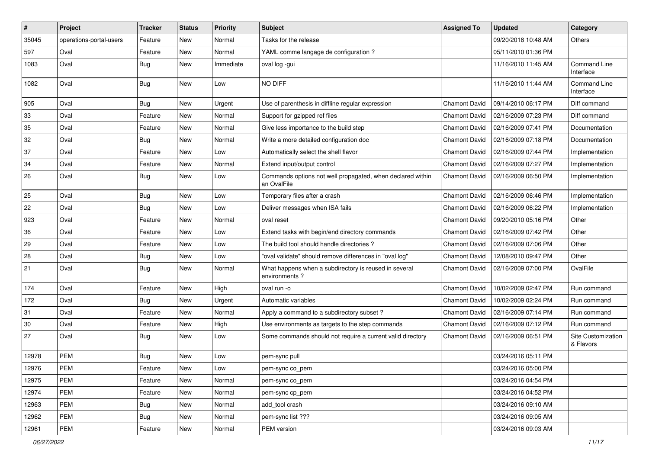| $\vert$ # | Project                 | <b>Tracker</b> | <b>Status</b> | <b>Priority</b> | Subject                                                                   | <b>Assigned To</b>   | <b>Updated</b>      | Category                         |
|-----------|-------------------------|----------------|---------------|-----------------|---------------------------------------------------------------------------|----------------------|---------------------|----------------------------------|
| 35045     | operations-portal-users | Feature        | New           | Normal          | Tasks for the release                                                     |                      | 09/20/2018 10:48 AM | Others                           |
| 597       | Oval                    | Feature        | New           | Normal          | YAML comme langage de configuration ?                                     |                      | 05/11/2010 01:36 PM |                                  |
| 1083      | Oval                    | Bug            | New           | Immediate       | oval log -gui                                                             |                      | 11/16/2010 11:45 AM | <b>Command Line</b><br>Interface |
| 1082      | Oval                    | <b>Bug</b>     | New           | Low             | NO DIFF                                                                   |                      | 11/16/2010 11:44 AM | Command Line<br>Interface        |
| 905       | Oval                    | <b>Bug</b>     | New           | Urgent          | Use of parenthesis in diffline regular expression                         | <b>Chamont David</b> | 09/14/2010 06:17 PM | Diff command                     |
| 33        | Oval                    | Feature        | New           | Normal          | Support for gzipped ref files                                             | <b>Chamont David</b> | 02/16/2009 07:23 PM | Diff command                     |
| 35        | Oval                    | Feature        | New           | Normal          | Give less importance to the build step                                    | <b>Chamont David</b> | 02/16/2009 07:41 PM | Documentation                    |
| 32        | Oval                    | <b>Bug</b>     | <b>New</b>    | Normal          | Write a more detailed configuration doc                                   | <b>Chamont David</b> | 02/16/2009 07:18 PM | Documentation                    |
| 37        | Oval                    | Feature        | New           | Low             | Automatically select the shell flavor                                     | <b>Chamont David</b> | 02/16/2009 07:44 PM | Implementation                   |
| 34        | Oval                    | Feature        | New           | Normal          | Extend input/output control                                               | <b>Chamont David</b> | 02/16/2009 07:27 PM | Implementation                   |
| 26        | Oval                    | Bug            | New           | Low             | Commands options not well propagated, when declared within<br>an OvalFile | <b>Chamont David</b> | 02/16/2009 06:50 PM | Implementation                   |
| 25        | Oval                    | <b>Bug</b>     | <b>New</b>    | Low             | Temporary files after a crash                                             | <b>Chamont David</b> | 02/16/2009 06:46 PM | Implementation                   |
| 22        | Oval                    | Bug            | New           | Low             | Deliver messages when ISA fails                                           | <b>Chamont David</b> | 02/16/2009 06:22 PM | Implementation                   |
| 923       | Oval                    | Feature        | New           | Normal          | oval reset                                                                | <b>Chamont David</b> | 09/20/2010 05:16 PM | Other                            |
| 36        | Oval                    | Feature        | New           | Low             | Extend tasks with begin/end directory commands                            | <b>Chamont David</b> | 02/16/2009 07:42 PM | Other                            |
| 29        | Oval                    | Feature        | New           | Low             | The build tool should handle directories?                                 | <b>Chamont David</b> | 02/16/2009 07:06 PM | Other                            |
| 28        | Oval                    | <b>Bug</b>     | New           | Low             | "oval validate" should remove differences in "oval log"                   | <b>Chamont David</b> | 12/08/2010 09:47 PM | Other                            |
| 21        | Oval                    | Bug            | New           | Normal          | What happens when a subdirectory is reused in several<br>environments?    | <b>Chamont David</b> | 02/16/2009 07:00 PM | OvalFile                         |
| 174       | Oval                    | Feature        | New           | High            | oval run -o                                                               | <b>Chamont David</b> | 10/02/2009 02:47 PM | Run command                      |
| 172       | Oval                    | <b>Bug</b>     | New           | Urgent          | Automatic variables                                                       | <b>Chamont David</b> | 10/02/2009 02:24 PM | Run command                      |
| 31        | Oval                    | Feature        | New           | Normal          | Apply a command to a subdirectory subset?                                 | <b>Chamont David</b> | 02/16/2009 07:14 PM | Run command                      |
| 30        | Oval                    | Feature        | New           | High            | Use environments as targets to the step commands                          | <b>Chamont David</b> | 02/16/2009 07:12 PM | Run command                      |
| 27        | Oval                    | Bug            | New           | Low             | Some commands should not require a current valid directory                | <b>Chamont David</b> | 02/16/2009 06:51 PM | Site Customization<br>& Flavors  |
| 12978     | <b>PEM</b>              | Bug            | New           | Low             | pem-sync pull                                                             |                      | 03/24/2016 05:11 PM |                                  |
| 12976     | PEM                     | Feature        | New           | Low             | pem-sync co pem                                                           |                      | 03/24/2016 05:00 PM |                                  |
| 12975     | PEM                     | Feature        | New           | Normal          | pem-sync co_pem                                                           |                      | 03/24/2016 04:54 PM |                                  |
| 12974     | <b>PEM</b>              | Feature        | New           | Normal          | pem-sync cp_pem                                                           |                      | 03/24/2016 04:52 PM |                                  |
| 12963     | <b>PEM</b>              | Bug            | New           | Normal          | add tool crash                                                            |                      | 03/24/2016 09:10 AM |                                  |
| 12962     | PEM                     | Bug            | New           | Normal          | pem-sync list ???                                                         |                      | 03/24/2016 09:05 AM |                                  |
| 12961     | <b>PEM</b>              | Feature        | New           | Normal          | PEM version                                                               |                      | 03/24/2016 09:03 AM |                                  |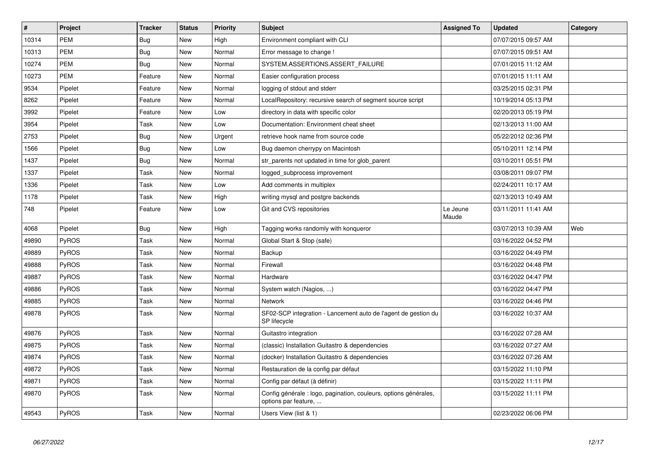| $\vert$ # | <b>Project</b> | <b>Tracker</b> | <b>Status</b> | <b>Priority</b> | <b>Subject</b>                                                                           | <b>Assigned To</b> | <b>Updated</b>      | Category |
|-----------|----------------|----------------|---------------|-----------------|------------------------------------------------------------------------------------------|--------------------|---------------------|----------|
| 10314     | <b>PEM</b>     | Bug            | New           | High            | Environment compliant with CLI                                                           |                    | 07/07/2015 09:57 AM |          |
| 10313     | <b>PEM</b>     | <b>Bug</b>     | New           | Normal          | Error message to change !                                                                |                    | 07/07/2015 09:51 AM |          |
| 10274     | <b>PEM</b>     | Bug            | New           | Normal          | SYSTEM.ASSERTIONS.ASSERT FAILURE                                                         |                    | 07/01/2015 11:12 AM |          |
| 10273     | <b>PEM</b>     | Feature        | New           | Normal          | Easier configuration process                                                             |                    | 07/01/2015 11:11 AM |          |
| 9534      | Pipelet        | Feature        | New           | Normal          | logging of stdout and stderr                                                             |                    | 03/25/2015 02:31 PM |          |
| 8262      | Pipelet        | Feature        | New           | Normal          | LocalRepository: recursive search of segment source script                               |                    | 10/19/2014 05:13 PM |          |
| 3992      | Pipelet        | Feature        | <b>New</b>    | Low             | directory in data with specific color                                                    |                    | 02/20/2013 05:19 PM |          |
| 3954      | Pipelet        | Task           | New           | Low             | Documentation: Environment cheat sheet                                                   |                    | 02/13/2013 11:00 AM |          |
| 2753      | Pipelet        | Bug            | New           | Urgent          | retrieve hook name from source code                                                      |                    | 05/22/2012 02:36 PM |          |
| 1566      | Pipelet        | Bug            | New           | Low             | Bug daemon cherrypy on Macintosh                                                         |                    | 05/10/2011 12:14 PM |          |
| 1437      | Pipelet        | Bug            | New           | Normal          | str parents not updated in time for glob parent                                          |                    | 03/10/2011 05:51 PM |          |
| 1337      | Pipelet        | Task           | New           | Normal          | logged subprocess improvement                                                            |                    | 03/08/2011 09:07 PM |          |
| 1336      | Pipelet        | Task           | New           | Low             | Add comments in multiplex                                                                |                    | 02/24/2011 10:17 AM |          |
| 1178      | Pipelet        | Task           | New           | High            | writing mysql and postgre backends                                                       |                    | 02/13/2013 10:49 AM |          |
| 748       | Pipelet        | Feature        | New           | Low             | Git and CVS repositories                                                                 | Le Jeune<br>Maude  | 03/11/2011 11:41 AM |          |
| 4068      | Pipelet        | <b>Bug</b>     | New           | High            | Tagging works randomly with konqueror                                                    |                    | 03/07/2013 10:39 AM | Web      |
| 49890     | <b>PyROS</b>   | Task           | <b>New</b>    | Normal          | Global Start & Stop (safe)                                                               |                    | 03/16/2022 04:52 PM |          |
| 49889     | <b>PyROS</b>   | Task           | New           | Normal          | Backup                                                                                   |                    | 03/16/2022 04:49 PM |          |
| 49888     | PyROS          | Task           | <b>New</b>    | Normal          | Firewall                                                                                 |                    | 03/16/2022 04:48 PM |          |
| 49887     | <b>PyROS</b>   | Task           | <b>New</b>    | Normal          | Hardware                                                                                 |                    | 03/16/2022 04:47 PM |          |
| 49886     | PyROS          | Task           | <b>New</b>    | Normal          | System watch (Nagios, )                                                                  |                    | 03/16/2022 04:47 PM |          |
| 49885     | PyROS          | Task           | New           | Normal          | <b>Network</b>                                                                           |                    | 03/16/2022 04:46 PM |          |
| 49878     | <b>PyROS</b>   | Task           | <b>New</b>    | Normal          | SF02-SCP integration - Lancement auto de l'agent de gestion du<br>SP lifecycle           |                    | 03/16/2022 10:37 AM |          |
| 49876     | PyROS          | Task           | <b>New</b>    | Normal          | Guitastro integration                                                                    |                    | 03/16/2022 07:28 AM |          |
| 49875     | PyROS          | Task           | <b>New</b>    | Normal          | (classic) Installation Guitastro & dependencies                                          |                    | 03/16/2022 07:27 AM |          |
| 49874     | PyROS          | Task           | <b>New</b>    | Normal          | (docker) Installation Guitastro & dependencies                                           |                    | 03/16/2022 07:26 AM |          |
| 49872     | PyROS          | Task           | New           | Normal          | Restauration de la config par défaut                                                     |                    | 03/15/2022 11:10 PM |          |
| 49871     | PyROS          | Task           | New           | Normal          | Config par défaut (à définir)                                                            |                    | 03/15/2022 11:11 PM |          |
| 49870     | <b>PyROS</b>   | Task           | New           | Normal          | Config générale : logo, pagination, couleurs, options générales,<br>options par feature, |                    | 03/15/2022 11:11 PM |          |
| 49543     | PyROS          | Task           | <b>New</b>    | Normal          | Users View (list & 1)                                                                    |                    | 02/23/2022 06:06 PM |          |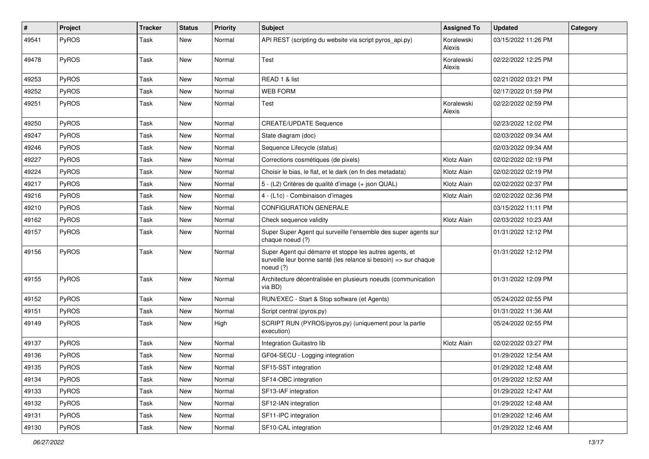| #     | Project      | <b>Tracker</b> | <b>Status</b> | <b>Priority</b> | <b>Subject</b>                                                                                                                           | <b>Assigned To</b>   | <b>Updated</b>      | Category |
|-------|--------------|----------------|---------------|-----------------|------------------------------------------------------------------------------------------------------------------------------------------|----------------------|---------------------|----------|
| 49541 | PyROS        | Task           | New           | Normal          | API REST (scripting du website via script pyros_api.py)                                                                                  | Koralewski<br>Alexis | 03/15/2022 11:26 PM |          |
| 49478 | PyROS        | Task           | New           | Normal          | Test                                                                                                                                     | Koralewski<br>Alexis | 02/22/2022 12:25 PM |          |
| 49253 | PyROS        | Task           | <b>New</b>    | Normal          | READ 1 & list                                                                                                                            |                      | 02/21/2022 03:21 PM |          |
| 49252 | PyROS        | Task           | New           | Normal          | <b>WEB FORM</b>                                                                                                                          |                      | 02/17/2022 01:59 PM |          |
| 49251 | PyROS        | Task           | New           | Normal          | Test                                                                                                                                     | Koralewski<br>Alexis | 02/22/2022 02:59 PM |          |
| 49250 | PyROS        | Task           | New           | Normal          | <b>CREATE/UPDATE Sequence</b>                                                                                                            |                      | 02/23/2022 12:02 PM |          |
| 49247 | PyROS        | Task           | New           | Normal          | State diagram (doc)                                                                                                                      |                      | 02/03/2022 09:34 AM |          |
| 49246 | PyROS        | Task           | New           | Normal          | Sequence Lifecycle (status)                                                                                                              |                      | 02/03/2022 09:34 AM |          |
| 49227 | PyROS        | Task           | New           | Normal          | Corrections cosmétiques (de pixels)                                                                                                      | Klotz Alain          | 02/02/2022 02:19 PM |          |
| 49224 | PyROS        | Task           | New           | Normal          | Choisir le bias, le flat, et le dark (en fn des metadata)                                                                                | Klotz Alain          | 02/02/2022 02:19 PM |          |
| 49217 | PyROS        | Task           | New           | Normal          | 5 - (L2) Critères de qualité d'image (+ json QUAL)                                                                                       | Klotz Alain          | 02/02/2022 02:37 PM |          |
| 49216 | PyROS        | Task           | New           | Normal          | 4 - (L1c) - Combinaison d'images                                                                                                         | Klotz Alain          | 02/02/2022 02:36 PM |          |
| 49210 | PyROS        | Task           | New           | Normal          | <b>CONFIGURATION GENERALE</b>                                                                                                            |                      | 03/15/2022 11:11 PM |          |
| 49162 | PyROS        | Task           | New           | Normal          | Check sequence validity                                                                                                                  | Klotz Alain          | 02/03/2022 10:23 AM |          |
| 49157 | PyROS        | Task           | <b>New</b>    | Normal          | Super Super Agent qui surveille l'ensemble des super agents sur<br>chaque noeud (?)                                                      |                      | 01/31/2022 12:12 PM |          |
| 49156 | PyROS        | Task           | New           | Normal          | Super Agent qui démarre et stoppe les autres agents, et<br>surveille leur bonne santé (les relance si besoin) => sur chaque<br>noeud (?) |                      | 01/31/2022 12:12 PM |          |
| 49155 | PyROS        | Task           | New           | Normal          | Architecture décentralisée en plusieurs noeuds (communication<br>via BD)                                                                 |                      | 01/31/2022 12:09 PM |          |
| 49152 | PyROS        | Task           | New           | Normal          | RUN/EXEC - Start & Stop software (et Agents)                                                                                             |                      | 05/24/2022 02:55 PM |          |
| 49151 | PyROS        | Task           | <b>New</b>    | Normal          | Script central (pyros.py)                                                                                                                |                      | 01/31/2022 11:36 AM |          |
| 49149 | PyROS        | Task           | New           | High            | SCRIPT RUN (PYROS/pyros.py) (uniquement pour la partie<br>execution)                                                                     |                      | 05/24/2022 02:55 PM |          |
| 49137 | PyROS        | Task           | New           | Normal          | Integration Guitastro lib                                                                                                                | Klotz Alain          | 02/02/2022 03:27 PM |          |
| 49136 | PyROS        | Task           | New           | Normal          | GF04-SECU - Logging integration                                                                                                          |                      | 01/29/2022 12:54 AM |          |
| 49135 | PyROS        | Task           | New           | Normal          | SF15-SST integration                                                                                                                     |                      | 01/29/2022 12:48 AM |          |
| 49134 | <b>PyROS</b> | Task           | New           | Normal          | SF14-OBC integration                                                                                                                     |                      | 01/29/2022 12:52 AM |          |
| 49133 | PyROS        | Task           | New           | Normal          | SF13-IAF integration                                                                                                                     |                      | 01/29/2022 12:47 AM |          |
| 49132 | PyROS        | Task           | New           | Normal          | SF12-IAN integration                                                                                                                     |                      | 01/29/2022 12:48 AM |          |
| 49131 | PyROS        | Task           | New           | Normal          | SF11-IPC integration                                                                                                                     |                      | 01/29/2022 12:46 AM |          |
| 49130 | PyROS        | Task           | New           | Normal          | SF10-CAL integration                                                                                                                     |                      | 01/29/2022 12:46 AM |          |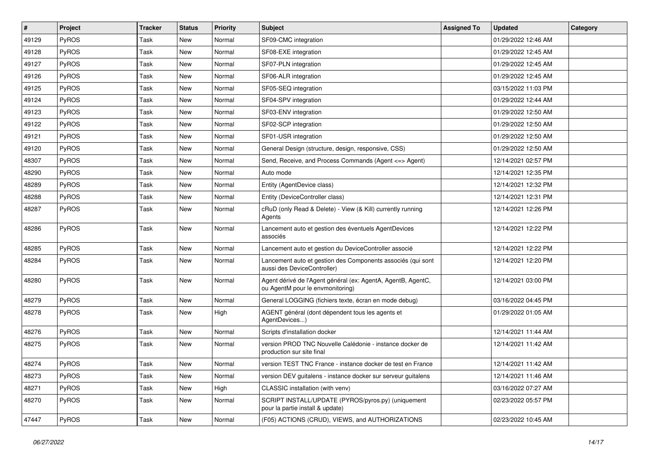| $\vert$ # | Project      | <b>Tracker</b> | <b>Status</b> | <b>Priority</b> | Subject                                                                                          | <b>Assigned To</b> | <b>Updated</b>      | Category |
|-----------|--------------|----------------|---------------|-----------------|--------------------------------------------------------------------------------------------------|--------------------|---------------------|----------|
| 49129     | PyROS        | Task           | New           | Normal          | SF09-CMC integration                                                                             |                    | 01/29/2022 12:46 AM |          |
| 49128     | <b>PyROS</b> | Task           | <b>New</b>    | Normal          | SF08-EXE integration                                                                             |                    | 01/29/2022 12:45 AM |          |
| 49127     | PyROS        | Task           | <b>New</b>    | Normal          | SF07-PLN integration                                                                             |                    | 01/29/2022 12:45 AM |          |
| 49126     | PyROS        | Task           | New           | Normal          | SF06-ALR integration                                                                             |                    | 01/29/2022 12:45 AM |          |
| 49125     | PyROS        | Task           | <b>New</b>    | Normal          | SF05-SEQ integration                                                                             |                    | 03/15/2022 11:03 PM |          |
| 49124     | PyROS        | Task           | <b>New</b>    | Normal          | SF04-SPV integration                                                                             |                    | 01/29/2022 12:44 AM |          |
| 49123     | PyROS        | Task           | <b>New</b>    | Normal          | SF03-ENV integration                                                                             |                    | 01/29/2022 12:50 AM |          |
| 49122     | PyROS        | Task           | New           | Normal          | SF02-SCP integration                                                                             |                    | 01/29/2022 12:50 AM |          |
| 49121     | <b>PyROS</b> | Task           | New           | Normal          | SF01-USR integration                                                                             |                    | 01/29/2022 12:50 AM |          |
| 49120     | PyROS        | Task           | <b>New</b>    | Normal          | General Design (structure, design, responsive, CSS)                                              |                    | 01/29/2022 12:50 AM |          |
| 48307     | PyROS        | Task           | New           | Normal          | Send, Receive, and Process Commands (Agent <= > Agent)                                           |                    | 12/14/2021 02:57 PM |          |
| 48290     | PyROS        | Task           | <b>New</b>    | Normal          | Auto mode                                                                                        |                    | 12/14/2021 12:35 PM |          |
| 48289     | PyROS        | Task           | New           | Normal          | Entity (AgentDevice class)                                                                       |                    | 12/14/2021 12:32 PM |          |
| 48288     | PyROS        | Task           | New           | Normal          | Entity (DeviceController class)                                                                  |                    | 12/14/2021 12:31 PM |          |
| 48287     | PyROS        | Task           | <b>New</b>    | Normal          | cRuD (only Read & Delete) - View (& Kill) currently running<br>Agents                            |                    | 12/14/2021 12:26 PM |          |
| 48286     | PyROS        | Task           | New           | Normal          | Lancement auto et gestion des éventuels AgentDevices<br>associés                                 |                    | 12/14/2021 12:22 PM |          |
| 48285     | PyROS        | Task           | <b>New</b>    | Normal          | Lancement auto et gestion du DeviceController associé                                            |                    | 12/14/2021 12:22 PM |          |
| 48284     | PyROS        | Task           | New           | Normal          | Lancement auto et gestion des Components associés (qui sont<br>aussi des DeviceController)       |                    | 12/14/2021 12:20 PM |          |
| 48280     | PyROS        | Task           | <b>New</b>    | Normal          | Agent dérivé de l'Agent général (ex: AgentA, AgentB, AgentC,<br>ou AgentM pour le envmonitoring) |                    | 12/14/2021 03:00 PM |          |
| 48279     | PyROS        | Task           | New           | Normal          | General LOGGING (fichiers texte, écran en mode debug)                                            |                    | 03/16/2022 04:45 PM |          |
| 48278     | PyROS        | Task           | New           | High            | AGENT général (dont dépendent tous les agents et<br>AgentDevices)                                |                    | 01/29/2022 01:05 AM |          |
| 48276     | PyROS        | Task           | New           | Normal          | Scripts d'installation docker                                                                    |                    | 12/14/2021 11:44 AM |          |
| 48275     | PyROS        | Task           | New           | Normal          | version PROD TNC Nouvelle Calédonie - instance docker de<br>production sur site final            |                    | 12/14/2021 11:42 AM |          |
| 48274     | <b>PyROS</b> | Task           | New           | Normal          | version TEST TNC France - instance docker de test en France                                      |                    | 12/14/2021 11:42 AM |          |
| 48273     | PyROS        | Task           | New           | Normal          | version DEV guitalens - instance docker sur serveur guitalens                                    |                    | 12/14/2021 11:46 AM |          |
| 48271     | PyROS        | Task           | New           | High            | CLASSIC installation (with venv)                                                                 |                    | 03/16/2022 07:27 AM |          |
| 48270     | PyROS        | Task           | New           | Normal          | SCRIPT INSTALL/UPDATE (PYROS/pyros.py) (uniquement<br>pour la partie install & update)           |                    | 02/23/2022 05:57 PM |          |
| 47447     | PyROS        | Task           | New           | Normal          | (F05) ACTIONS (CRUD), VIEWS, and AUTHORIZATIONS                                                  |                    | 02/23/2022 10:45 AM |          |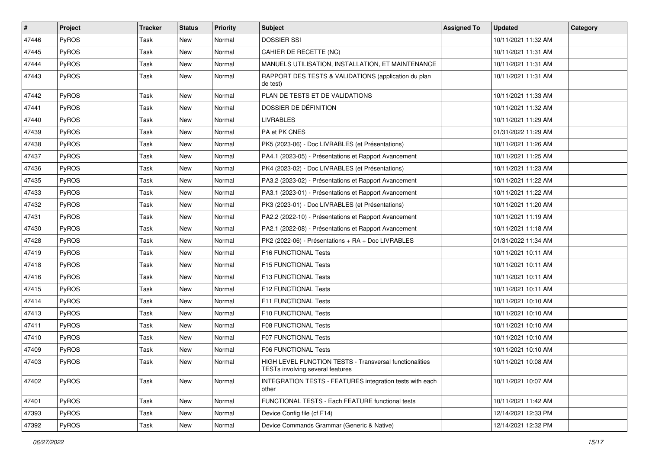| #     | Project      | <b>Tracker</b> | <b>Status</b> | <b>Priority</b> | <b>Subject</b>                                                                                     | <b>Assigned To</b> | <b>Updated</b>      | Category |
|-------|--------------|----------------|---------------|-----------------|----------------------------------------------------------------------------------------------------|--------------------|---------------------|----------|
| 47446 | PyROS        | Task           | New           | Normal          | <b>DOSSIER SSI</b>                                                                                 |                    | 10/11/2021 11:32 AM |          |
| 47445 | PyROS        | Task           | New           | Normal          | CAHIER DE RECETTE (NC)                                                                             |                    | 10/11/2021 11:31 AM |          |
| 47444 | PyROS        | Task           | New           | Normal          | MANUELS UTILISATION, INSTALLATION, ET MAINTENANCE                                                  |                    | 10/11/2021 11:31 AM |          |
| 47443 | PyROS        | Task           | New           | Normal          | RAPPORT DES TESTS & VALIDATIONS (application du plan<br>de test)                                   |                    | 10/11/2021 11:31 AM |          |
| 47442 | PyROS        | Task           | <b>New</b>    | Normal          | PLAN DE TESTS ET DE VALIDATIONS                                                                    |                    | 10/11/2021 11:33 AM |          |
| 47441 | PyROS        | Task           | <b>New</b>    | Normal          | DOSSIER DE DÉFINITION                                                                              |                    | 10/11/2021 11:32 AM |          |
| 47440 | PyROS        | Task           | New           | Normal          | <b>LIVRABLES</b>                                                                                   |                    | 10/11/2021 11:29 AM |          |
| 47439 | PyROS        | Task           | New           | Normal          | PA et PK CNES                                                                                      |                    | 01/31/2022 11:29 AM |          |
| 47438 | PyROS        | Task           | <b>New</b>    | Normal          | PK5 (2023-06) - Doc LIVRABLES (et Présentations)                                                   |                    | 10/11/2021 11:26 AM |          |
| 47437 | PyROS        | Task           | <b>New</b>    | Normal          | PA4.1 (2023-05) - Présentations et Rapport Avancement                                              |                    | 10/11/2021 11:25 AM |          |
| 47436 | PyROS        | Task           | <b>New</b>    | Normal          | PK4 (2023-02) - Doc LIVRABLES (et Présentations)                                                   |                    | 10/11/2021 11:23 AM |          |
| 47435 | PyROS        | Task           | New           | Normal          | PA3.2 (2023-02) - Présentations et Rapport Avancement                                              |                    | 10/11/2021 11:22 AM |          |
| 47433 | PyROS        | Task           | New           | Normal          | PA3.1 (2023-01) - Présentations et Rapport Avancement                                              |                    | 10/11/2021 11:22 AM |          |
| 47432 | PyROS        | Task           | <b>New</b>    | Normal          | PK3 (2023-01) - Doc LIVRABLES (et Présentations)                                                   |                    | 10/11/2021 11:20 AM |          |
| 47431 | PyROS        | Task           | New           | Normal          | PA2.2 (2022-10) - Présentations et Rapport Avancement                                              |                    | 10/11/2021 11:19 AM |          |
| 47430 | PyROS        | Task           | New           | Normal          | PA2.1 (2022-08) - Présentations et Rapport Avancement                                              |                    | 10/11/2021 11:18 AM |          |
| 47428 | PyROS        | Task           | New           | Normal          | PK2 (2022-06) - Présentations + RA + Doc LIVRABLES                                                 |                    | 01/31/2022 11:34 AM |          |
| 47419 | PyROS        | Task           | New           | Normal          | F16 FUNCTIONAL Tests                                                                               |                    | 10/11/2021 10:11 AM |          |
| 47418 | PyROS        | Task           | <b>New</b>    | Normal          | F15 FUNCTIONAL Tests                                                                               |                    | 10/11/2021 10:11 AM |          |
| 47416 | <b>PyROS</b> | Task           | <b>New</b>    | Normal          | F13 FUNCTIONAL Tests                                                                               |                    | 10/11/2021 10:11 AM |          |
| 47415 | PyROS        | Task           | New           | Normal          | F12 FUNCTIONAL Tests                                                                               |                    | 10/11/2021 10:11 AM |          |
| 47414 | PyROS        | Task           | <b>New</b>    | Normal          | F11 FUNCTIONAL Tests                                                                               |                    | 10/11/2021 10:10 AM |          |
| 47413 | PyROS        | Task           | <b>New</b>    | Normal          | F10 FUNCTIONAL Tests                                                                               |                    | 10/11/2021 10:10 AM |          |
| 47411 | PyROS        | Task           | New           | Normal          | F08 FUNCTIONAL Tests                                                                               |                    | 10/11/2021 10:10 AM |          |
| 47410 | PyROS        | Task           | New           | Normal          | F07 FUNCTIONAL Tests                                                                               |                    | 10/11/2021 10:10 AM |          |
| 47409 | PyROS        | Task           | New           | Normal          | F06 FUNCTIONAL Tests                                                                               |                    | 10/11/2021 10:10 AM |          |
| 47403 | PyROS        | Task           | <b>New</b>    | Normal          | HIGH LEVEL FUNCTION TESTS - Transversal functionalities<br><b>TESTs involving several features</b> |                    | 10/11/2021 10:08 AM |          |
| 47402 | PyROS        | Task           | New           | Normal          | INTEGRATION TESTS - FEATURES integration tests with each<br>other                                  |                    | 10/11/2021 10:07 AM |          |
| 47401 | PyROS        | Task           | New           | Normal          | FUNCTIONAL TESTS - Each FEATURE functional tests                                                   |                    | 10/11/2021 11:42 AM |          |
| 47393 | PyROS        | Task           | <b>New</b>    | Normal          | Device Config file (cf F14)                                                                        |                    | 12/14/2021 12:33 PM |          |
| 47392 | PyROS        | Task           | New           | Normal          | Device Commands Grammar (Generic & Native)                                                         |                    | 12/14/2021 12:32 PM |          |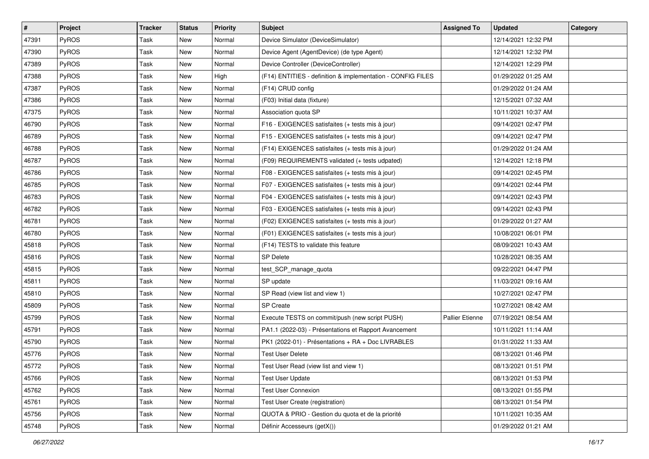| #     | Project      | <b>Tracker</b> | <b>Status</b> | <b>Priority</b> | <b>Subject</b>                                              | <b>Assigned To</b>     | <b>Updated</b>      | Category |
|-------|--------------|----------------|---------------|-----------------|-------------------------------------------------------------|------------------------|---------------------|----------|
| 47391 | PyROS        | Task           | New           | Normal          | Device Simulator (DeviceSimulator)                          |                        | 12/14/2021 12:32 PM |          |
| 47390 | PyROS        | Task           | New           | Normal          | Device Agent (AgentDevice) (de type Agent)                  |                        | 12/14/2021 12:32 PM |          |
| 47389 | <b>PyROS</b> | Task           | New           | Normal          | Device Controller (DeviceController)                        |                        | 12/14/2021 12:29 PM |          |
| 47388 | PyROS        | Task           | New           | High            | (F14) ENTITIES - definition & implementation - CONFIG FILES |                        | 01/29/2022 01:25 AM |          |
| 47387 | PyROS        | Task           | New           | Normal          | (F14) CRUD config                                           |                        | 01/29/2022 01:24 AM |          |
| 47386 | <b>PyROS</b> | Task           | New           | Normal          | (F03) Initial data (fixture)                                |                        | 12/15/2021 07:32 AM |          |
| 47375 | PyROS        | Task           | New           | Normal          | Association quota SP                                        |                        | 10/11/2021 10:37 AM |          |
| 46790 | <b>PyROS</b> | Task           | New           | Normal          | F16 - EXIGENCES satisfaites (+ tests mis à jour)            |                        | 09/14/2021 02:47 PM |          |
| 46789 | PyROS        | Task           | New           | Normal          | F15 - EXIGENCES satisfaites (+ tests mis à jour)            |                        | 09/14/2021 02:47 PM |          |
| 46788 | PyROS        | Task           | New           | Normal          | (F14) EXIGENCES satisfaites (+ tests mis à jour)            |                        | 01/29/2022 01:24 AM |          |
| 46787 | <b>PyROS</b> | Task           | New           | Normal          | (F09) REQUIREMENTS validated (+ tests udpated)              |                        | 12/14/2021 12:18 PM |          |
| 46786 | PyROS        | Task           | New           | Normal          | F08 - EXIGENCES satisfaites (+ tests mis à jour)            |                        | 09/14/2021 02:45 PM |          |
| 46785 | PyROS        | Task           | New           | Normal          | F07 - EXIGENCES satisfaites (+ tests mis à jour)            |                        | 09/14/2021 02:44 PM |          |
| 46783 | PyROS        | Task           | New           | Normal          | F04 - EXIGENCES satisfaites (+ tests mis à jour)            |                        | 09/14/2021 02:43 PM |          |
| 46782 | PyROS        | Task           | New           | Normal          | F03 - EXIGENCES satisfaites (+ tests mis à jour)            |                        | 09/14/2021 02:43 PM |          |
| 46781 | <b>PyROS</b> | Task           | New           | Normal          | (F02) EXIGENCES satisfaites (+ tests mis à jour)            |                        | 01/29/2022 01:27 AM |          |
| 46780 | PyROS        | Task           | New           | Normal          | (F01) EXIGENCES satisfaites (+ tests mis à jour)            |                        | 10/08/2021 06:01 PM |          |
| 45818 | <b>PyROS</b> | Task           | New           | Normal          | (F14) TESTS to validate this feature                        |                        | 08/09/2021 10:43 AM |          |
| 45816 | PyROS        | Task           | New           | Normal          | <b>SP Delete</b>                                            |                        | 10/28/2021 08:35 AM |          |
| 45815 | PyROS        | Task           | New           | Normal          | test_SCP_manage_quota                                       |                        | 09/22/2021 04:47 PM |          |
| 45811 | <b>PyROS</b> | Task           | New           | Normal          | SP update                                                   |                        | 11/03/2021 09:16 AM |          |
| 45810 | PyROS        | Task           | New           | Normal          | SP Read (view list and view 1)                              |                        | 10/27/2021 02:47 PM |          |
| 45809 | PyROS        | Task           | New           | Normal          | <b>SP Create</b>                                            |                        | 10/27/2021 08:42 AM |          |
| 45799 | <b>PyROS</b> | Task           | New           | Normal          | Execute TESTS on commit/push (new script PUSH)              | <b>Pallier Etienne</b> | 07/19/2021 08:54 AM |          |
| 45791 | PyROS        | Task           | New           | Normal          | PA1.1 (2022-03) - Présentations et Rapport Avancement       |                        | 10/11/2021 11:14 AM |          |
| 45790 | PyROS        | Task           | New           | Normal          | PK1 (2022-01) - Présentations + RA + Doc LIVRABLES          |                        | 01/31/2022 11:33 AM |          |
| 45776 | PyROS        | Task           | New           | Normal          | <b>Test User Delete</b>                                     |                        | 08/13/2021 01:46 PM |          |
| 45772 | PyROS        | Task           | New           | Normal          | Test User Read (view list and view 1)                       |                        | 08/13/2021 01:51 PM |          |
| 45766 | PyROS        | Task           | New           | Normal          | <b>Test User Update</b>                                     |                        | 08/13/2021 01:53 PM |          |
| 45762 | PyROS        | Task           | New           | Normal          | <b>Test User Connexion</b>                                  |                        | 08/13/2021 01:55 PM |          |
| 45761 | <b>PyROS</b> | Task           | New           | Normal          | Test User Create (registration)                             |                        | 08/13/2021 01:54 PM |          |
| 45756 | PyROS        | Task           | New           | Normal          | QUOTA & PRIO - Gestion du quota et de la priorité           |                        | 10/11/2021 10:35 AM |          |
| 45748 | PyROS        | Task           | New           | Normal          | Définir Accesseurs (getX())                                 |                        | 01/29/2022 01:21 AM |          |